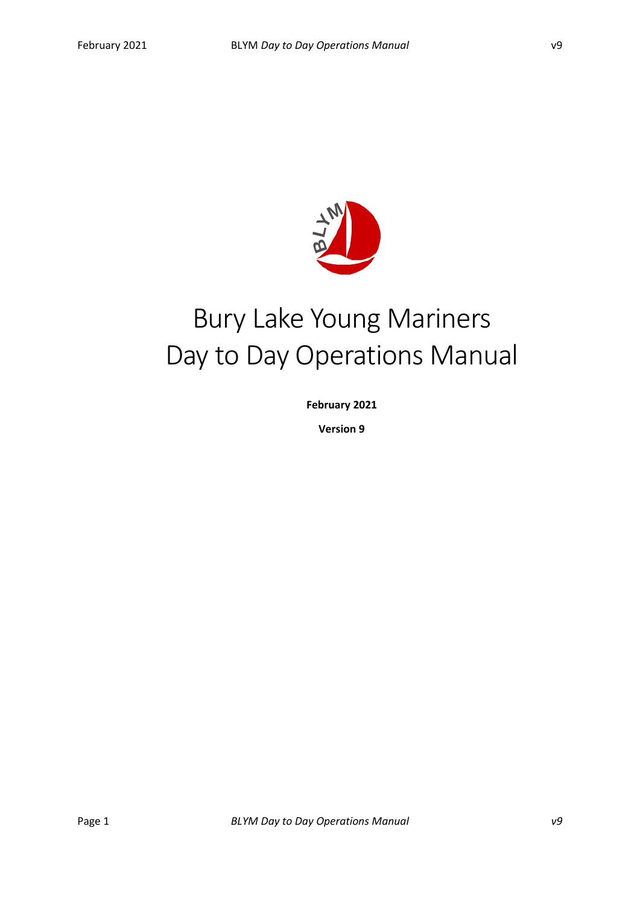

# Bury Lake Young Mariners Day to Day Operations Manual

**February 2021**

**Version 9**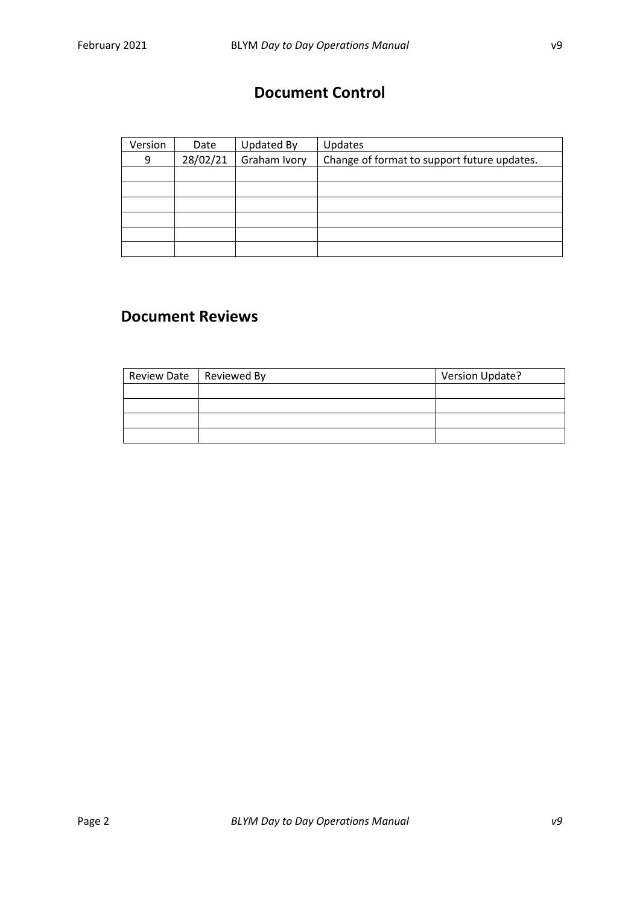### **Document Control**

| Version | Date     | Updated By   | Updates                                     |
|---------|----------|--------------|---------------------------------------------|
| 9       | 28/02/21 | Graham Ivory | Change of format to support future updates. |
|         |          |              |                                             |
|         |          |              |                                             |
|         |          |              |                                             |
|         |          |              |                                             |
|         |          |              |                                             |
|         |          |              |                                             |

### **Document Reviews**

| Review Date   Reviewed By | <b>Version Update?</b> |
|---------------------------|------------------------|
|                           |                        |
|                           |                        |
|                           |                        |
|                           |                        |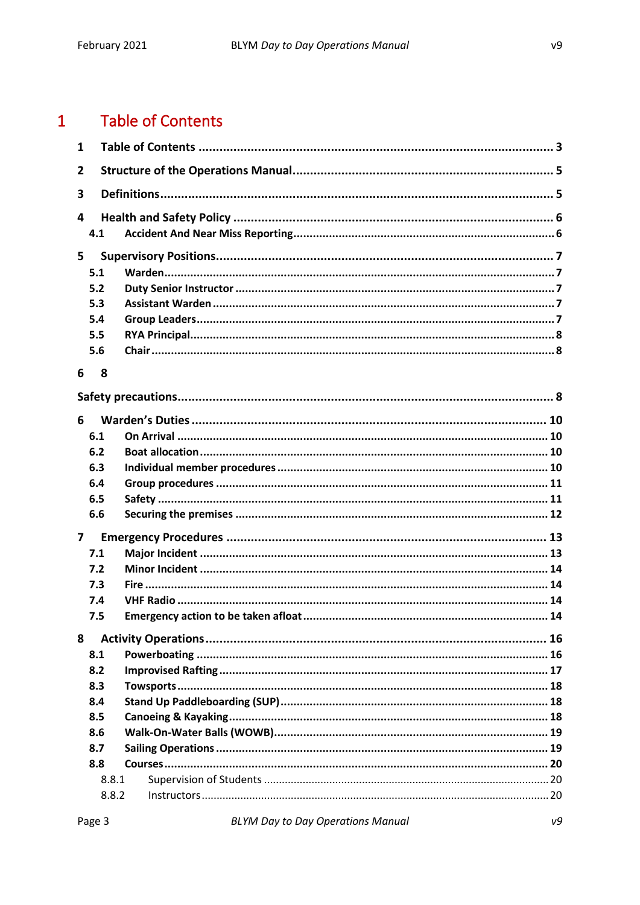#### <span id="page-2-0"></span>**Table of Contents**  $\overline{1}$

| $\mathbf{1}$   |       |  |  |  |  |
|----------------|-------|--|--|--|--|
| $\overline{2}$ |       |  |  |  |  |
| 3              |       |  |  |  |  |
| 4              |       |  |  |  |  |
|                | 4.1   |  |  |  |  |
| 5              |       |  |  |  |  |
|                | 5.1   |  |  |  |  |
|                | 5.2   |  |  |  |  |
|                | 5.3   |  |  |  |  |
|                | 5.4   |  |  |  |  |
|                | 5.5   |  |  |  |  |
|                | 5.6   |  |  |  |  |
| 6              | 8     |  |  |  |  |
|                |       |  |  |  |  |
| 6              |       |  |  |  |  |
|                | 6.1   |  |  |  |  |
|                | 6.2   |  |  |  |  |
|                | 6.3   |  |  |  |  |
|                | 6.4   |  |  |  |  |
|                | 6.5   |  |  |  |  |
|                | 6.6   |  |  |  |  |
| 7              |       |  |  |  |  |
|                | 7.1   |  |  |  |  |
|                | 7.2   |  |  |  |  |
|                | 7.3   |  |  |  |  |
|                | 7.4   |  |  |  |  |
|                | 7.5   |  |  |  |  |
|                |       |  |  |  |  |
| 8              |       |  |  |  |  |
|                | 8.1   |  |  |  |  |
|                | 8.2   |  |  |  |  |
|                | 8.3   |  |  |  |  |
|                | 8.4   |  |  |  |  |
|                | 8.5   |  |  |  |  |
|                | 8.6   |  |  |  |  |
|                | 8.7   |  |  |  |  |
|                | 8.8   |  |  |  |  |
|                | 8.8.1 |  |  |  |  |
|                | 8.8.2 |  |  |  |  |

 $v<sub>9</sub>$ 

 $v9$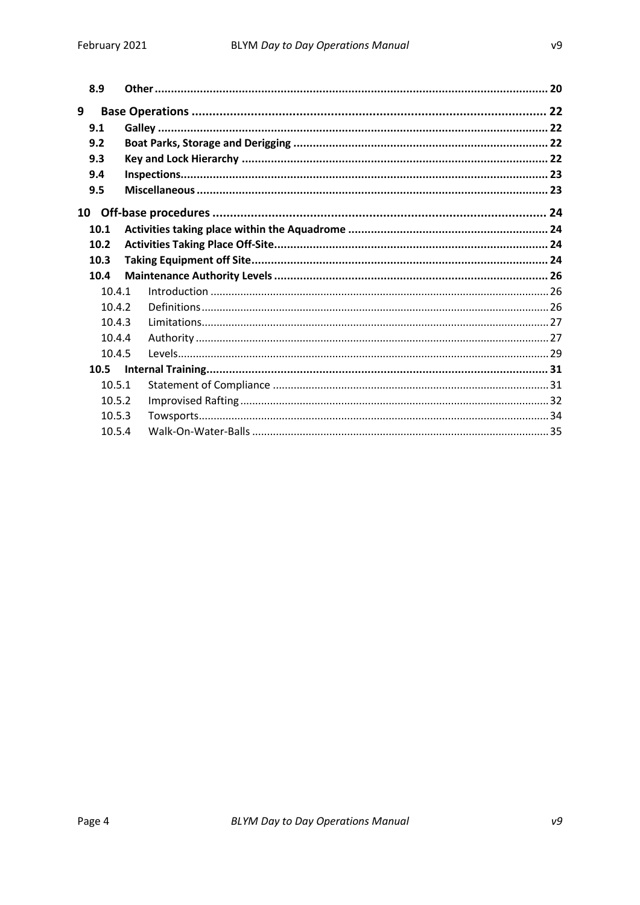| 8.9    |  |  |
|--------|--|--|
| 9      |  |  |
| 9.1    |  |  |
| 9.2    |  |  |
| 9.3    |  |  |
| 9.4    |  |  |
| 9.5    |  |  |
| 10     |  |  |
| 10.1   |  |  |
| 10.2   |  |  |
| 10.3   |  |  |
| 10.4   |  |  |
| 10.4.1 |  |  |
| 10.4.2 |  |  |
| 10.4.3 |  |  |
| 10.4.4 |  |  |
| 10.4.5 |  |  |
| 10.5   |  |  |
| 10.5.1 |  |  |
| 10.5.2 |  |  |
| 10.5.3 |  |  |
| 10.5.4 |  |  |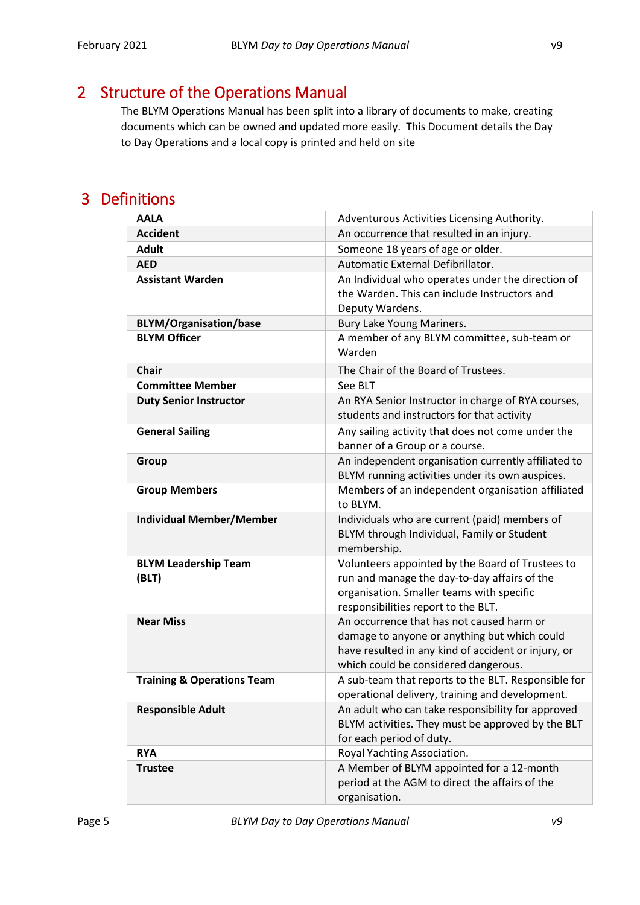## <span id="page-4-0"></span>2 Structure of the Operations Manual

The BLYM Operations Manual has been split into a library of documents to make, creating documents which can be owned and updated more easily. This Document details the Day to Day Operations and a local copy is printed and held on site

### <span id="page-4-1"></span>3 Definitions

| <b>AALA</b>                           | Adventurous Activities Licensing Authority.                                                                                                                                              |
|---------------------------------------|------------------------------------------------------------------------------------------------------------------------------------------------------------------------------------------|
| <b>Accident</b>                       | An occurrence that resulted in an injury.                                                                                                                                                |
| <b>Adult</b>                          | Someone 18 years of age or older.                                                                                                                                                        |
| <b>AED</b>                            | Automatic External Defibrillator.                                                                                                                                                        |
| <b>Assistant Warden</b>               | An Individual who operates under the direction of<br>the Warden. This can include Instructors and<br>Deputy Wardens.                                                                     |
| <b>BLYM/Organisation/base</b>         | Bury Lake Young Mariners.                                                                                                                                                                |
| <b>BLYM Officer</b>                   | A member of any BLYM committee, sub-team or<br>Warden                                                                                                                                    |
| <b>Chair</b>                          | The Chair of the Board of Trustees.                                                                                                                                                      |
| <b>Committee Member</b>               | See BLT                                                                                                                                                                                  |
| <b>Duty Senior Instructor</b>         | An RYA Senior Instructor in charge of RYA courses,<br>students and instructors for that activity                                                                                         |
| <b>General Sailing</b>                | Any sailing activity that does not come under the<br>banner of a Group or a course.                                                                                                      |
| Group                                 | An independent organisation currently affiliated to<br>BLYM running activities under its own auspices.                                                                                   |
| <b>Group Members</b>                  | Members of an independent organisation affiliated<br>to BLYM.                                                                                                                            |
| <b>Individual Member/Member</b>       | Individuals who are current (paid) members of<br>BLYM through Individual, Family or Student<br>membership.                                                                               |
| <b>BLYM Leadership Team</b><br>(BLT)  | Volunteers appointed by the Board of Trustees to<br>run and manage the day-to-day affairs of the<br>organisation. Smaller teams with specific<br>responsibilities report to the BLT.     |
| <b>Near Miss</b>                      | An occurrence that has not caused harm or<br>damage to anyone or anything but which could<br>have resulted in any kind of accident or injury, or<br>which could be considered dangerous. |
| <b>Training &amp; Operations Team</b> | A sub-team that reports to the BLT. Responsible for<br>operational delivery, training and development.                                                                                   |
| <b>Responsible Adult</b>              | An adult who can take responsibility for approved<br>BLYM activities. They must be approved by the BLT<br>for each period of duty.                                                       |
| <b>RYA</b>                            | Royal Yachting Association.                                                                                                                                                              |
| <b>Trustee</b>                        | A Member of BLYM appointed for a 12-month<br>period at the AGM to direct the affairs of the<br>organisation.                                                                             |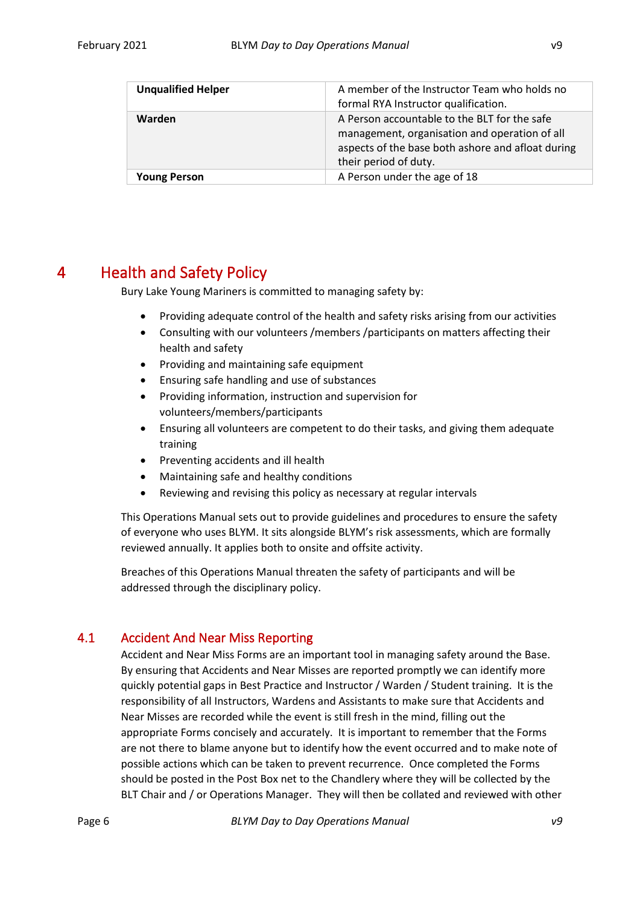| <b>Unqualified Helper</b> | A member of the Instructor Team who holds no<br>formal RYA Instructor qualification.                                                                                        |
|---------------------------|-----------------------------------------------------------------------------------------------------------------------------------------------------------------------------|
| Warden                    | A Person accountable to the BLT for the safe<br>management, organisation and operation of all<br>aspects of the base both ashore and afloat during<br>their period of duty. |
| <b>Young Person</b>       | A Person under the age of 18                                                                                                                                                |

### <span id="page-5-0"></span>4 Health and Safety Policy

Bury Lake Young Mariners is committed to managing safety by:

- Providing adequate control of the health and safety risks arising from our activities
- Consulting with our volunteers /members /participants on matters affecting their health and safety
- Providing and maintaining safe equipment
- Ensuring safe handling and use of substances
- Providing information, instruction and supervision for volunteers/members/participants
- Ensuring all volunteers are competent to do their tasks, and giving them adequate training
- Preventing accidents and ill health
- Maintaining safe and healthy conditions
- Reviewing and revising this policy as necessary at regular intervals

This Operations Manual sets out to provide guidelines and procedures to ensure the safety of everyone who uses BLYM. It sits alongside BLYM's risk assessments, which are formally reviewed annually. It applies both to onsite and offsite activity.

Breaches of this Operations Manual threaten the safety of participants and will be addressed through the disciplinary policy.

#### <span id="page-5-1"></span>4.1 Accident And Near Miss Reporting

Accident and Near Miss Forms are an important tool in managing safety around the Base. By ensuring that Accidents and Near Misses are reported promptly we can identify more quickly potential gaps in Best Practice and Instructor / Warden / Student training. It is the responsibility of all Instructors, Wardens and Assistants to make sure that Accidents and Near Misses are recorded while the event is still fresh in the mind, filling out the appropriate Forms concisely and accurately. It is important to remember that the Forms are not there to blame anyone but to identify how the event occurred and to make note of possible actions which can be taken to prevent recurrence. Once completed the Forms should be posted in the Post Box net to the Chandlery where they will be collected by the BLT Chair and / or Operations Manager. They will then be collated and reviewed with other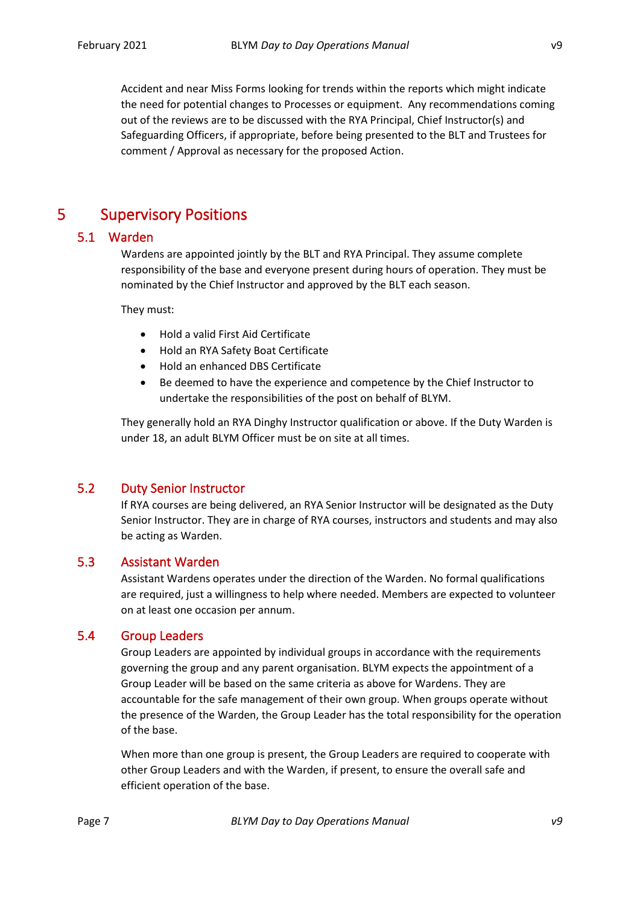Accident and near Miss Forms looking for trends within the reports which might indicate the need for potential changes to Processes or equipment. Any recommendations coming out of the reviews are to be discussed with the RYA Principal, Chief Instructor(s) and Safeguarding Officers, if appropriate, before being presented to the BLT and Trustees for comment / Approval as necessary for the proposed Action.

### <span id="page-6-0"></span>5 Supervisory Positions

#### <span id="page-6-1"></span>5.1 Warden

Wardens are appointed jointly by the BLT and RYA Principal. They assume complete responsibility of the base and everyone present during hours of operation. They must be nominated by the Chief Instructor and approved by the BLT each season.

They must:

- Hold a valid First Aid Certificate
- Hold an RYA Safety Boat Certificate
- Hold an enhanced DBS Certificate
- Be deemed to have the experience and competence by the Chief Instructor to undertake the responsibilities of the post on behalf of BLYM.

They generally hold an RYA Dinghy Instructor qualification or above. If the Duty Warden is under 18, an adult BLYM Officer must be on site at all times.

#### <span id="page-6-2"></span>5.2 Duty Senior Instructor

If RYA courses are being delivered, an RYA Senior Instructor will be designated as the Duty Senior Instructor. They are in charge of RYA courses, instructors and students and may also be acting as Warden.

#### <span id="page-6-3"></span>5.3 Assistant Warden

Assistant Wardens operates under the direction of the Warden. No formal qualifications are required, just a willingness to help where needed. Members are expected to volunteer on at least one occasion per annum.

#### <span id="page-6-4"></span>5.4 Group Leaders

Group Leaders are appointed by individual groups in accordance with the requirements governing the group and any parent organisation. BLYM expects the appointment of a Group Leader will be based on the same criteria as above for Wardens. They are accountable for the safe management of their own group. When groups operate without the presence of the Warden, the Group Leader has the total responsibility for the operation of the base.

When more than one group is present, the Group Leaders are required to cooperate with other Group Leaders and with the Warden, if present, to ensure the overall safe and efficient operation of the base.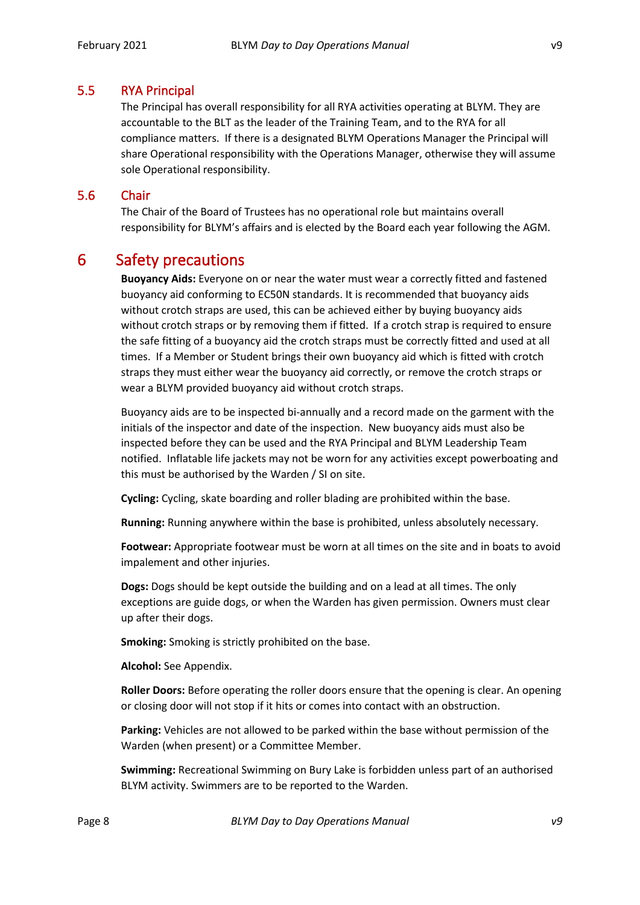#### <span id="page-7-0"></span>5.5 RYA Principal

The Principal has overall responsibility for all RYA activities operating at BLYM. They are accountable to the BLT as the leader of the Training Team, and to the RYA for all compliance matters. If there is a designated BLYM Operations Manager the Principal will share Operational responsibility with the Operations Manager, otherwise they will assume sole Operational responsibility.

#### <span id="page-7-1"></span>5.6 Chair

The Chair of the Board of Trustees has no operational role but maintains overall responsibility for BLYM's affairs and is elected by the Board each year following the AGM.

### <span id="page-7-2"></span>6 Safety precautions

<span id="page-7-3"></span>**Buoyancy Aids:** Everyone on or near the water must wear a correctly fitted and fastened buoyancy aid conforming to EC50N standards. It is recommended that buoyancy aids without crotch straps are used, this can be achieved either by buying buoyancy aids without crotch straps or by removing them if fitted. If a crotch strap is required to ensure the safe fitting of a buoyancy aid the crotch straps must be correctly fitted and used at all times. If a Member or Student brings their own buoyancy aid which is fitted with crotch straps they must either wear the buoyancy aid correctly, or remove the crotch straps or wear a BLYM provided buoyancy aid without crotch straps.

Buoyancy aids are to be inspected bi-annually and a record made on the garment with the initials of the inspector and date of the inspection. New buoyancy aids must also be inspected before they can be used and the RYA Principal and BLYM Leadership Team notified. Inflatable life jackets may not be worn for any activities except powerboating and this must be authorised by the Warden / SI on site.

**Cycling:** Cycling, skate boarding and roller blading are prohibited within the base.

**Running:** Running anywhere within the base is prohibited, unless absolutely necessary.

**Footwear:** Appropriate footwear must be worn at all times on the site and in boats to avoid impalement and other injuries.

**Dogs:** Dogs should be kept outside the building and on a lead at all times. The only exceptions are guide dogs, or when the Warden has given permission. Owners must clear up after their dogs.

**Smoking:** Smoking is strictly prohibited on the base.

**Alcohol:** See Appendix.

**Roller Doors:** Before operating the roller doors ensure that the opening is clear. An opening or closing door will not stop if it hits or comes into contact with an obstruction.

**Parking:** Vehicles are not allowed to be parked within the base without permission of the Warden (when present) or a Committee Member.

**Swimming:** Recreational Swimming on Bury Lake is forbidden unless part of an authorised BLYM activity. Swimmers are to be reported to the Warden.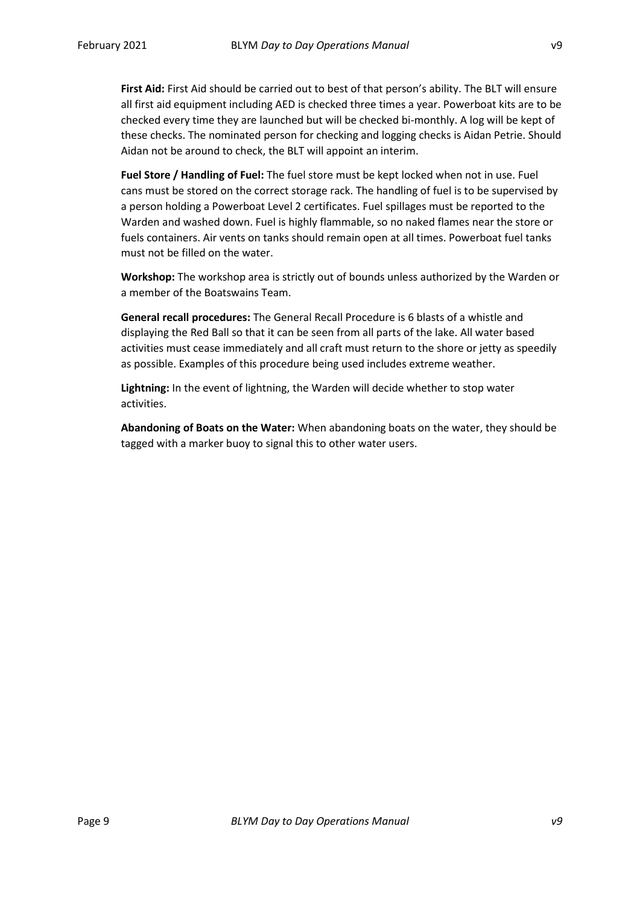**First Aid:** First Aid should be carried out to best of that person's ability. The BLT will ensure all first aid equipment including AED is checked three times a year. Powerboat kits are to be checked every time they are launched but will be checked bi-monthly. A log will be kept of these checks. The nominated person for checking and logging checks is Aidan Petrie. Should Aidan not be around to check, the BLT will appoint an interim.

**Fuel Store / Handling of Fuel:** The fuel store must be kept locked when not in use. Fuel cans must be stored on the correct storage rack. The handling of fuel is to be supervised by a person holding a Powerboat Level 2 certificates. Fuel spillages must be reported to the Warden and washed down. Fuel is highly flammable, so no naked flames near the store or fuels containers. Air vents on tanks should remain open at all times. Powerboat fuel tanks must not be filled on the water.

**Workshop:** The workshop area is strictly out of bounds unless authorized by the Warden or a member of the Boatswains Team.

**General recall procedures:** The General Recall Procedure is 6 blasts of a whistle and displaying the Red Ball so that it can be seen from all parts of the lake. All water based activities must cease immediately and all craft must return to the shore or jetty as speedily as possible. Examples of this procedure being used includes extreme weather.

**Lightning:** In the event of lightning, the Warden will decide whether to stop water activities.

**Abandoning of Boats on the Water:** When abandoning boats on the water, they should be tagged with a marker buoy to signal this to other water users.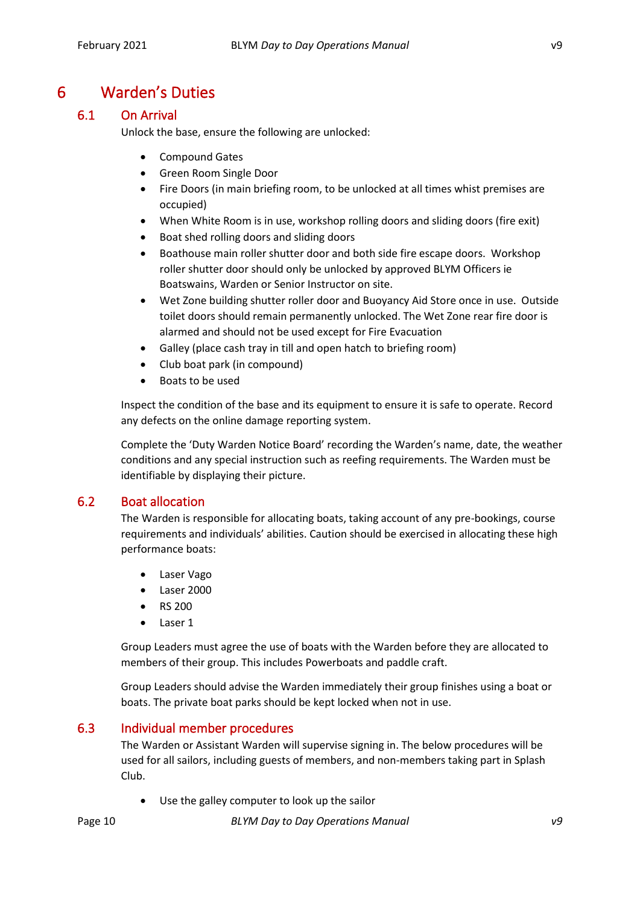### <span id="page-9-0"></span>6 Warden's Duties

### <span id="page-9-1"></span>6.1 On Arrival

Unlock the base, ensure the following are unlocked:

- Compound Gates
- Green Room Single Door
- Fire Doors (in main briefing room, to be unlocked at all times whist premises are occupied)
- When White Room is in use, workshop rolling doors and sliding doors (fire exit)
- Boat shed rolling doors and sliding doors
- Boathouse main roller shutter door and both side fire escape doors. Workshop roller shutter door should only be unlocked by approved BLYM Officers ie Boatswains, Warden or Senior Instructor on site.
- Wet Zone building shutter roller door and Buoyancy Aid Store once in use. Outside toilet doors should remain permanently unlocked. The Wet Zone rear fire door is alarmed and should not be used except for Fire Evacuation
- Galley (place cash tray in till and open hatch to briefing room)
- Club boat park (in compound)
- Boats to be used

Inspect the condition of the base and its equipment to ensure it is safe to operate. Record any defects on the online damage reporting system.

Complete the 'Duty Warden Notice Board' recording the Warden's name, date, the weather conditions and any special instruction such as reefing requirements. The Warden must be identifiable by displaying their picture.

#### <span id="page-9-2"></span>6.2 Boat allocation

The Warden is responsible for allocating boats, taking account of any pre-bookings, course requirements and individuals' abilities. Caution should be exercised in allocating these high performance boats:

- Laser Vago
- Laser 2000
- RS 200
- Laser 1

Group Leaders must agree the use of boats with the Warden before they are allocated to members of their group. This includes Powerboats and paddle craft.

Group Leaders should advise the Warden immediately their group finishes using a boat or boats. The private boat parks should be kept locked when not in use.

#### <span id="page-9-3"></span>6.3 Individual member procedures

The Warden or Assistant Warden will supervise signing in. The below procedures will be used for all sailors, including guests of members, and non-members taking part in Splash Club.

• Use the galley computer to look up the sailor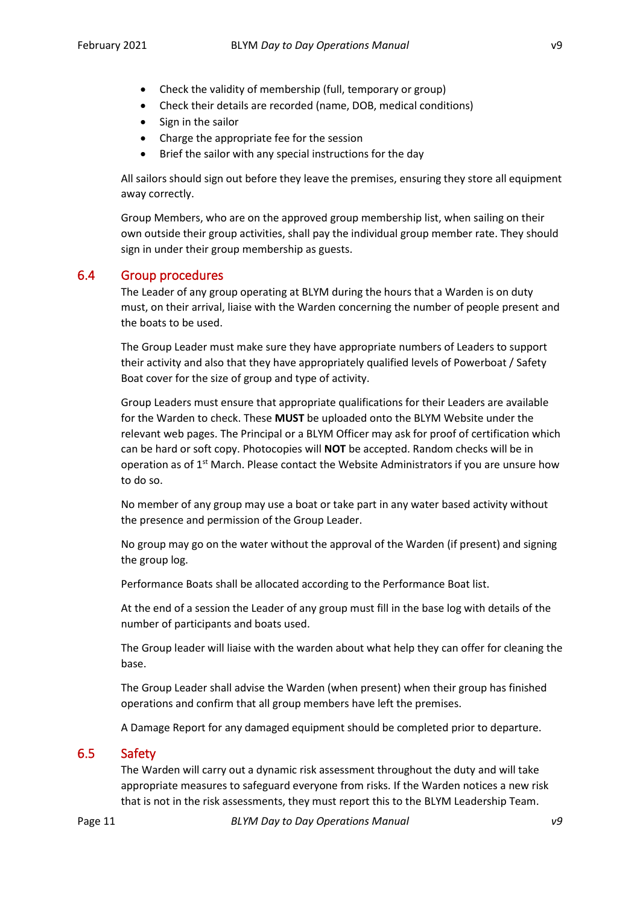- Check the validity of membership (full, temporary or group)
- Check their details are recorded (name, DOB, medical conditions)
- Sign in the sailor
- Charge the appropriate fee for the session
- Brief the sailor with any special instructions for the day

All sailors should sign out before they leave the premises, ensuring they store all equipment away correctly.

Group Members, who are on the approved group membership list, when sailing on their own outside their group activities, shall pay the individual group member rate. They should sign in under their group membership as guests.

#### <span id="page-10-0"></span>6.4 Group procedures

The Leader of any group operating at BLYM during the hours that a Warden is on duty must, on their arrival, liaise with the Warden concerning the number of people present and the boats to be used.

The Group Leader must make sure they have appropriate numbers of Leaders to support their activity and also that they have appropriately qualified levels of Powerboat / Safety Boat cover for the size of group and type of activity.

Group Leaders must ensure that appropriate qualifications for their Leaders are available for the Warden to check. These **MUST** be uploaded onto the BLYM Website under the relevant web pages. The Principal or a BLYM Officer may ask for proof of certification which can be hard or soft copy. Photocopies will **NOT** be accepted. Random checks will be in operation as of  $1<sup>st</sup>$  March. Please contact the Website Administrators if you are unsure how to do so.

No member of any group may use a boat or take part in any water based activity without the presence and permission of the Group Leader.

No group may go on the water without the approval of the Warden (if present) and signing the group log.

Performance Boats shall be allocated according to the Performance Boat list.

At the end of a session the Leader of any group must fill in the base log with details of the number of participants and boats used.

The Group leader will liaise with the warden about what help they can offer for cleaning the base.

The Group Leader shall advise the Warden (when present) when their group has finished operations and confirm that all group members have left the premises.

A Damage Report for any damaged equipment should be completed prior to departure.

#### <span id="page-10-1"></span>6.5 Safety

The Warden will carry out a dynamic risk assessment throughout the duty and will take appropriate measures to safeguard everyone from risks. If the Warden notices a new risk that is not in the risk assessments, they must report this to the BLYM Leadership Team.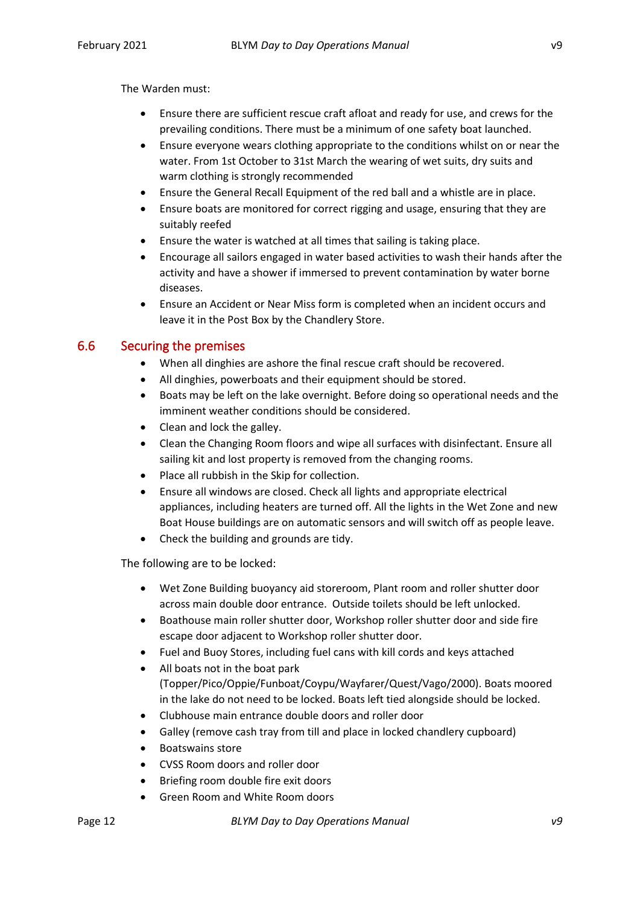The Warden must:

- Ensure there are sufficient rescue craft afloat and ready for use, and crews for the prevailing conditions. There must be a minimum of one safety boat launched.
- Ensure everyone wears clothing appropriate to the conditions whilst on or near the water. From 1st October to 31st March the wearing of wet suits, dry suits and warm clothing is strongly recommended
- Ensure the General Recall Equipment of the red ball and a whistle are in place.
- Ensure boats are monitored for correct rigging and usage, ensuring that they are suitably reefed
- Ensure the water is watched at all times that sailing is taking place.
- Encourage all sailors engaged in water based activities to wash their hands after the activity and have a shower if immersed to prevent contamination by water borne diseases.
- Ensure an Accident or Near Miss form is completed when an incident occurs and leave it in the Post Box by the Chandlery Store.

#### <span id="page-11-0"></span>6.6 Securing the premises

- When all dinghies are ashore the final rescue craft should be recovered.
- All dinghies, powerboats and their equipment should be stored.
- Boats may be left on the lake overnight. Before doing so operational needs and the imminent weather conditions should be considered.
- Clean and lock the galley.
- Clean the Changing Room floors and wipe all surfaces with disinfectant. Ensure all sailing kit and lost property is removed from the changing rooms.
- Place all rubbish in the Skip for collection.
- Ensure all windows are closed. Check all lights and appropriate electrical appliances, including heaters are turned off. All the lights in the Wet Zone and new Boat House buildings are on automatic sensors and will switch off as people leave.
- Check the building and grounds are tidy.

The following are to be locked:

- Wet Zone Building buoyancy aid storeroom, Plant room and roller shutter door across main double door entrance. Outside toilets should be left unlocked.
- Boathouse main roller shutter door, Workshop roller shutter door and side fire escape door adjacent to Workshop roller shutter door.
- Fuel and Buoy Stores, including fuel cans with kill cords and keys attached
- All boats not in the boat park (Topper/Pico/Oppie/Funboat/Coypu/Wayfarer/Quest/Vago/2000). Boats moored in the lake do not need to be locked. Boats left tied alongside should be locked.
- Clubhouse main entrance double doors and roller door
- Galley (remove cash tray from till and place in locked chandlery cupboard)
- Boatswains store
- CVSS Room doors and roller door
- Briefing room double fire exit doors
- Green Room and White Room doors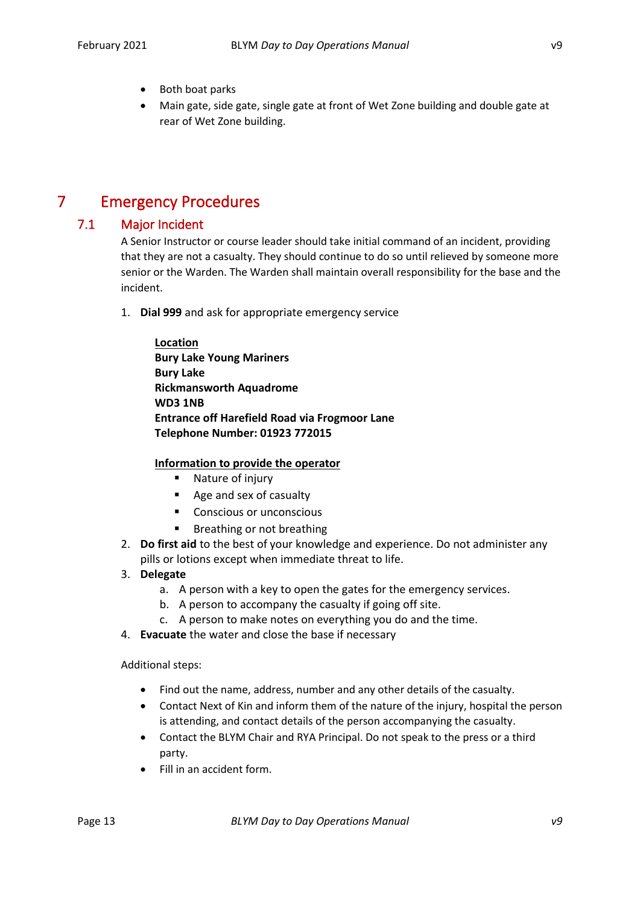- Both boat parks
- Main gate, side gate, single gate at front of Wet Zone building and double gate at rear of Wet Zone building.

### <span id="page-12-0"></span>7 Emergency Procedures

#### <span id="page-12-1"></span>7.1 Major Incident

A Senior Instructor or course leader should take initial command of an incident, providing that they are not a casualty. They should continue to do so until relieved by someone more senior or the Warden. The Warden shall maintain overall responsibility for the base and the incident.

1. **Dial 999** and ask for appropriate emergency service

| Location                                             |
|------------------------------------------------------|
| <b>Bury Lake Young Mariners</b>                      |
| <b>Bury Lake</b>                                     |
| <b>Rickmansworth Aquadrome</b>                       |
| <b>WD3 1NB</b>                                       |
| <b>Entrance off Harefield Road via Frogmoor Lane</b> |
| <b>Telephone Number: 01923 772015</b>                |

#### **Information to provide the operator**

- Nature of injury
- Age and sex of casualty
- Conscious or unconscious
- Breathing or not breathing
- 2. **Do first aid** to the best of your knowledge and experience. Do not administer any pills or lotions except when immediate threat to life.
- 3. **Delegate**
	- a. A person with a key to open the gates for the emergency services.
	- b. A person to accompany the casualty if going off site.
	- c. A person to make notes on everything you do and the time.
- 4. **Evacuate** the water and close the base if necessary

Additional steps:

- Find out the name, address, number and any other details of the casualty.
- Contact Next of Kin and inform them of the nature of the injury, hospital the person is attending, and contact details of the person accompanying the casualty.
- Contact the BLYM Chair and RYA Principal. Do not speak to the press or a third party.
- Fill in an accident form.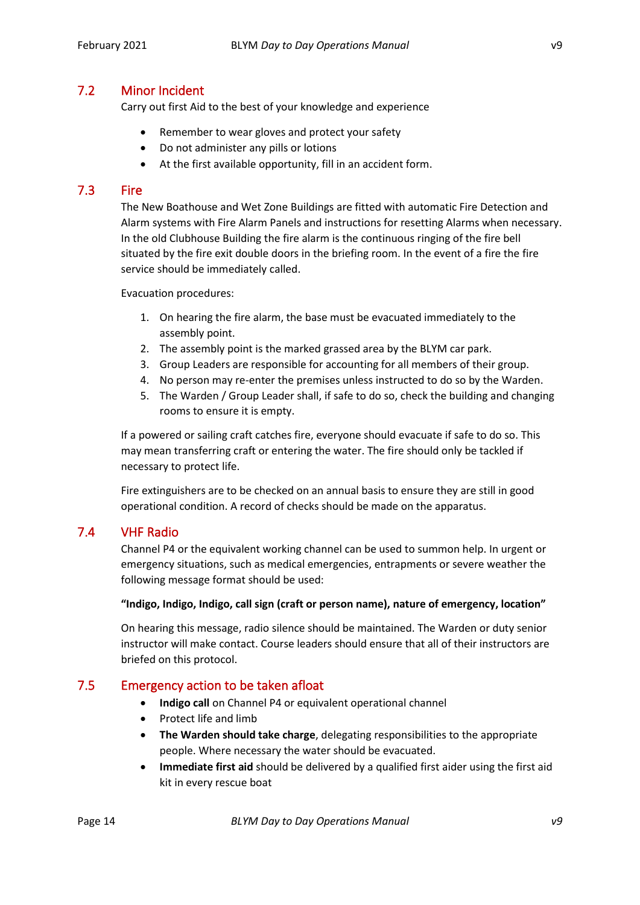#### <span id="page-13-0"></span>7.2 Minor Incident

Carry out first Aid to the best of your knowledge and experience

- Remember to wear gloves and protect your safety
- Do not administer any pills or lotions
- At the first available opportunity, fill in an accident form.

#### <span id="page-13-1"></span>7.3 Fire

The New Boathouse and Wet Zone Buildings are fitted with automatic Fire Detection and Alarm systems with Fire Alarm Panels and instructions for resetting Alarms when necessary. In the old Clubhouse Building the fire alarm is the continuous ringing of the fire bell situated by the fire exit double doors in the briefing room. In the event of a fire the fire service should be immediately called.

Evacuation procedures:

- 1. On hearing the fire alarm, the base must be evacuated immediately to the assembly point.
- 2. The assembly point is the marked grassed area by the BLYM car park.
- 3. Group Leaders are responsible for accounting for all members of their group.
- 4. No person may re-enter the premises unless instructed to do so by the Warden.
- 5. The Warden / Group Leader shall, if safe to do so, check the building and changing rooms to ensure it is empty.

If a powered or sailing craft catches fire, everyone should evacuate if safe to do so. This may mean transferring craft or entering the water. The fire should only be tackled if necessary to protect life.

Fire extinguishers are to be checked on an annual basis to ensure they are still in good operational condition. A record of checks should be made on the apparatus.

#### <span id="page-13-2"></span>7.4 VHF Radio

Channel P4 or the equivalent working channel can be used to summon help. In urgent or emergency situations, such as medical emergencies, entrapments or severe weather the following message format should be used:

#### **"Indigo, Indigo, Indigo, call sign (craft or person name), nature of emergency, location"**

On hearing this message, radio silence should be maintained. The Warden or duty senior instructor will make contact. Course leaders should ensure that all of their instructors are briefed on this protocol.

#### <span id="page-13-3"></span>7.5 Emergency action to be taken afloat

- **Indigo call** on Channel P4 or equivalent operational channel
- Protect life and limb
- **The Warden should take charge**, delegating responsibilities to the appropriate people. Where necessary the water should be evacuated.
- **Immediate first aid** should be delivered by a qualified first aider using the first aid kit in every rescue boat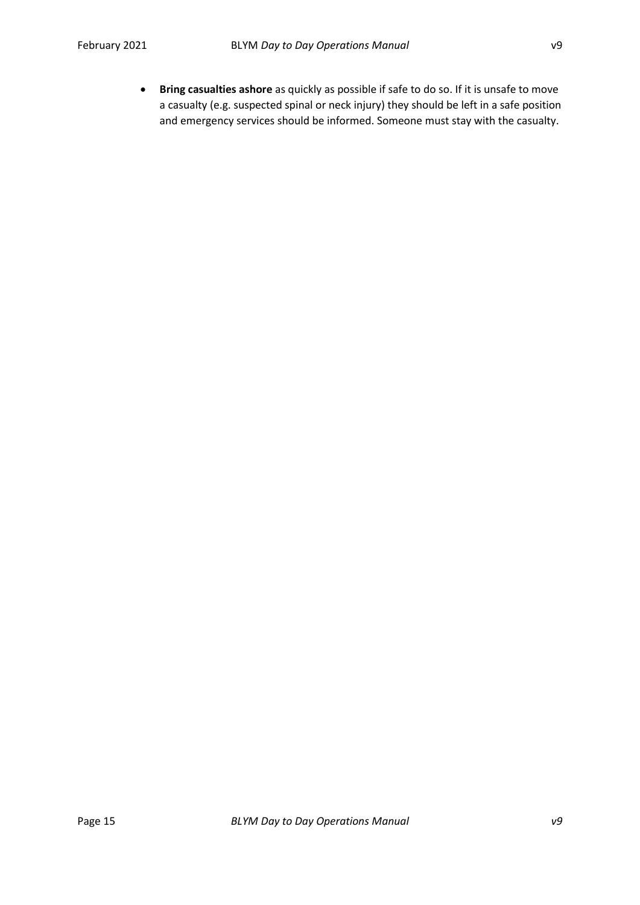• **Bring casualties ashore** as quickly as possible if safe to do so. If it is unsafe to move a casualty (e.g. suspected spinal or neck injury) they should be left in a safe position and emergency services should be informed. Someone must stay with the casualty.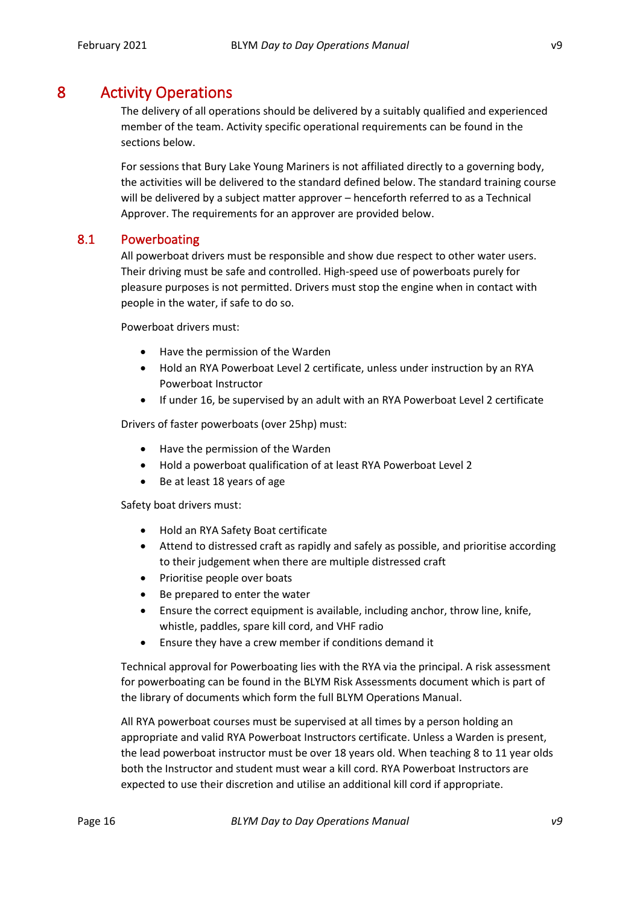### <span id="page-15-0"></span>8 Activity Operations

The delivery of all operations should be delivered by a suitably qualified and experienced member of the team. Activity specific operational requirements can be found in the sections below.

For sessions that Bury Lake Young Mariners is not affiliated directly to a governing body, the activities will be delivered to the standard defined below. The standard training course will be delivered by a subject matter approver – henceforth referred to as a Technical Approver. The requirements for an approver are provided below.

#### <span id="page-15-1"></span>8.1 Powerboating

All powerboat drivers must be responsible and show due respect to other water users. Their driving must be safe and controlled. High-speed use of powerboats purely for pleasure purposes is not permitted. Drivers must stop the engine when in contact with people in the water, if safe to do so.

Powerboat drivers must:

- Have the permission of the Warden
- Hold an RYA Powerboat Level 2 certificate, unless under instruction by an RYA Powerboat Instructor
- If under 16, be supervised by an adult with an RYA Powerboat Level 2 certificate

Drivers of faster powerboats (over 25hp) must:

- Have the permission of the Warden
- Hold a powerboat qualification of at least RYA Powerboat Level 2
- Be at least 18 years of age

Safety boat drivers must:

- Hold an RYA Safety Boat certificate
- Attend to distressed craft as rapidly and safely as possible, and prioritise according to their judgement when there are multiple distressed craft
- Prioritise people over boats
- Be prepared to enter the water
- Ensure the correct equipment is available, including anchor, throw line, knife, whistle, paddles, spare kill cord, and VHF radio
- Ensure they have a crew member if conditions demand it

Technical approval for Powerboating lies with the RYA via the principal. A risk assessment for powerboating can be found in the BLYM Risk Assessments document which is part of the library of documents which form the full BLYM Operations Manual.

All RYA powerboat courses must be supervised at all times by a person holding an appropriate and valid RYA Powerboat Instructors certificate. Unless a Warden is present, the lead powerboat instructor must be over 18 years old. When teaching 8 to 11 year olds both the Instructor and student must wear a kill cord. RYA Powerboat Instructors are expected to use their discretion and utilise an additional kill cord if appropriate.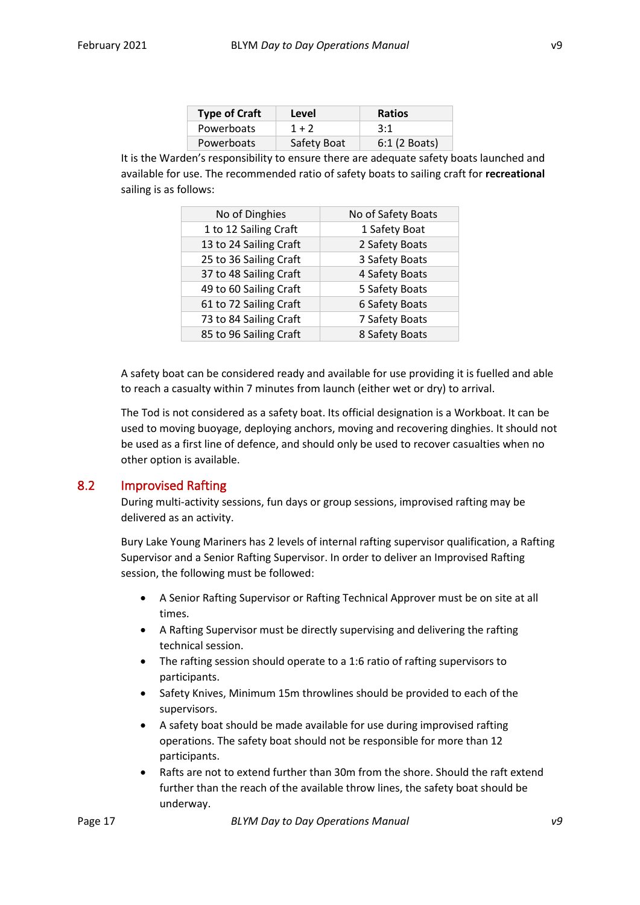| <b>Type of Craft</b> | Level       | <b>Ratios</b> |
|----------------------|-------------|---------------|
| Powerboats           | $1 + 2$     | 3:1           |
| Powerboats           | Safety Boat | 6:1 (2 Boats) |

It is the Warden's responsibility to ensure there are adequate safety boats launched and available for use. The recommended ratio of safety boats to sailing craft for **recreational**  sailing is as follows:

| No of Dinghies         | No of Safety Boats |
|------------------------|--------------------|
| 1 to 12 Sailing Craft  | 1 Safety Boat      |
| 13 to 24 Sailing Craft | 2 Safety Boats     |
| 25 to 36 Sailing Craft | 3 Safety Boats     |
| 37 to 48 Sailing Craft | 4 Safety Boats     |
| 49 to 60 Sailing Craft | 5 Safety Boats     |
| 61 to 72 Sailing Craft | 6 Safety Boats     |
| 73 to 84 Sailing Craft | 7 Safety Boats     |
| 85 to 96 Sailing Craft | 8 Safety Boats     |

A safety boat can be considered ready and available for use providing it is fuelled and able to reach a casualty within 7 minutes from launch (either wet or dry) to arrival.

The Tod is not considered as a safety boat. Its official designation is a Workboat. It can be used to moving buoyage, deploying anchors, moving and recovering dinghies. It should not be used as a first line of defence, and should only be used to recover casualties when no other option is available.

#### <span id="page-16-0"></span>8.2 Improvised Rafting

During multi-activity sessions, fun days or group sessions, improvised rafting may be delivered as an activity.

Bury Lake Young Mariners has 2 levels of internal rafting supervisor qualification, a Rafting Supervisor and a Senior Rafting Supervisor. In order to deliver an Improvised Rafting session, the following must be followed:

- A Senior Rafting Supervisor or Rafting Technical Approver must be on site at all times.
- A Rafting Supervisor must be directly supervising and delivering the rafting technical session.
- The rafting session should operate to a 1:6 ratio of rafting supervisors to participants.
- Safety Knives, Minimum 15m throwlines should be provided to each of the supervisors.
- A safety boat should be made available for use during improvised rafting operations. The safety boat should not be responsible for more than 12 participants.
- Rafts are not to extend further than 30m from the shore. Should the raft extend further than the reach of the available throw lines, the safety boat should be underway.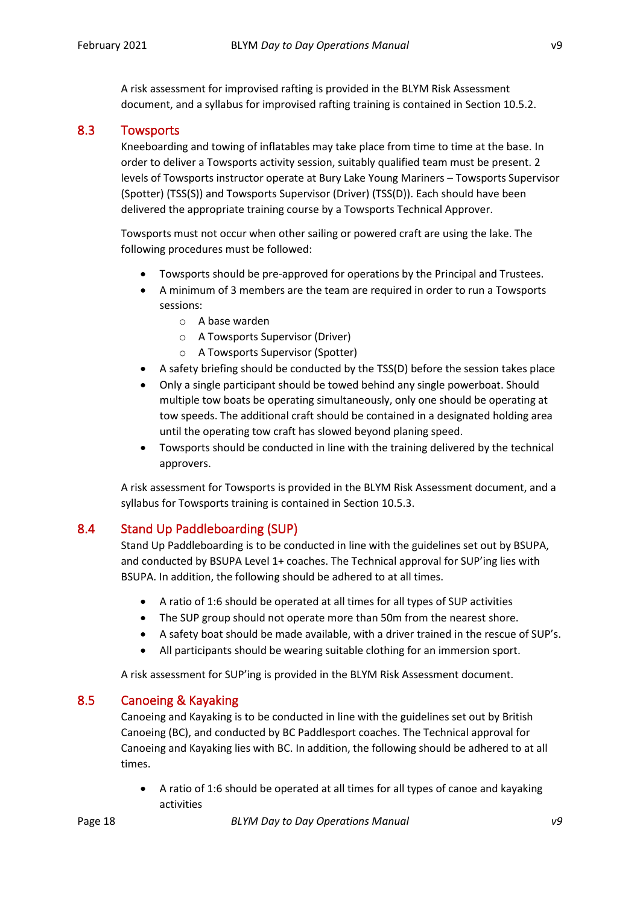A risk assessment for improvised rafting is provided in the BLYM Risk Assessment document, and a syllabus for improvised rafting training is contained in Section 10.5.2.

#### <span id="page-17-0"></span>8.3 Towsports

Kneeboarding and towing of inflatables may take place from time to time at the base. In order to deliver a Towsports activity session, suitably qualified team must be present. 2 levels of Towsports instructor operate at Bury Lake Young Mariners – Towsports Supervisor (Spotter) (TSS(S)) and Towsports Supervisor (Driver) (TSS(D)). Each should have been delivered the appropriate training course by a Towsports Technical Approver.

Towsports must not occur when other sailing or powered craft are using the lake. The following procedures must be followed:

- Towsports should be pre-approved for operations by the Principal and Trustees.
- A minimum of 3 members are the team are required in order to run a Towsports sessions:
	- o A base warden
	- o A Towsports Supervisor (Driver)
	- o A Towsports Supervisor (Spotter)
- A safety briefing should be conducted by the TSS(D) before the session takes place
- Only a single participant should be towed behind any single powerboat. Should multiple tow boats be operating simultaneously, only one should be operating at tow speeds. The additional craft should be contained in a designated holding area until the operating tow craft has slowed beyond planing speed.
- Towsports should be conducted in line with the training delivered by the technical approvers.

A risk assessment for Towsports is provided in the BLYM Risk Assessment document, and a syllabus for Towsports training is contained in Section 10.5.3.

#### <span id="page-17-1"></span>8.4 Stand Up Paddleboarding (SUP)

Stand Up Paddleboarding is to be conducted in line with the guidelines set out by BSUPA, and conducted by BSUPA Level 1+ coaches. The Technical approval for SUP'ing lies with BSUPA. In addition, the following should be adhered to at all times.

- A ratio of 1:6 should be operated at all times for all types of SUP activities
- The SUP group should not operate more than 50m from the nearest shore.
- A safety boat should be made available, with a driver trained in the rescue of SUP's.
- All participants should be wearing suitable clothing for an immersion sport.

A risk assessment for SUP'ing is provided in the BLYM Risk Assessment document.

#### <span id="page-17-2"></span>8.5 Canoeing & Kayaking

Canoeing and Kayaking is to be conducted in line with the guidelines set out by British Canoeing (BC), and conducted by BC Paddlesport coaches. The Technical approval for Canoeing and Kayaking lies with BC. In addition, the following should be adhered to at all times.

• A ratio of 1:6 should be operated at all times for all types of canoe and kayaking activities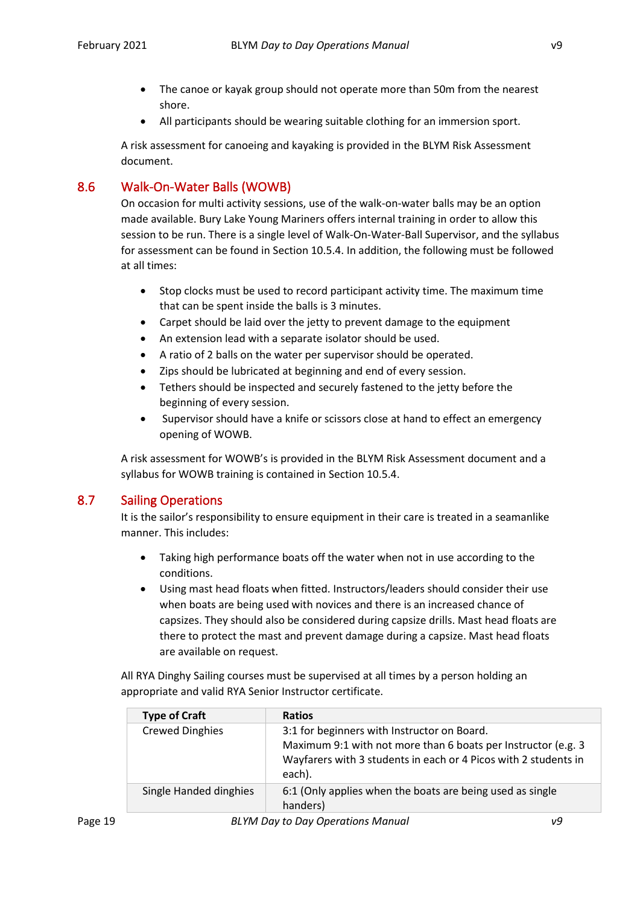- The canoe or kayak group should not operate more than 50m from the nearest shore.
- All participants should be wearing suitable clothing for an immersion sport.

A risk assessment for canoeing and kayaking is provided in the BLYM Risk Assessment document.

#### <span id="page-18-0"></span>8.6 Walk-On-Water Balls (WOWB)

On occasion for multi activity sessions, use of the walk-on-water balls may be an option made available. Bury Lake Young Mariners offers internal training in order to allow this session to be run. There is a single level of Walk-On-Water-Ball Supervisor, and the syllabus for assessment can be found in Section 10.5.4. In addition, the following must be followed at all times:

- Stop clocks must be used to record participant activity time. The maximum time that can be spent inside the balls is 3 minutes.
- Carpet should be laid over the jetty to prevent damage to the equipment
- An extension lead with a separate isolator should be used.
- A ratio of 2 balls on the water per supervisor should be operated.
- Zips should be lubricated at beginning and end of every session.
- Tethers should be inspected and securely fastened to the jetty before the beginning of every session.
- Supervisor should have a knife or scissors close at hand to effect an emergency opening of WOWB.

A risk assessment for WOWB's is provided in the BLYM Risk Assessment document and a syllabus for WOWB training is contained in Section 10.5.4.

#### <span id="page-18-1"></span>8.7 Sailing Operations

It is the sailor's responsibility to ensure equipment in their care is treated in a seamanlike manner. This includes:

- Taking high performance boats off the water when not in use according to the conditions.
- Using mast head floats when fitted. Instructors/leaders should consider their use when boats are being used with novices and there is an increased chance of capsizes. They should also be considered during capsize drills. Mast head floats are there to protect the mast and prevent damage during a capsize. Mast head floats are available on request.

All RYA Dinghy Sailing courses must be supervised at all times by a person holding an appropriate and valid RYA Senior Instructor certificate.

| <b>Type of Craft</b>   | <b>Ratios</b>                                                                                                                                                                             |
|------------------------|-------------------------------------------------------------------------------------------------------------------------------------------------------------------------------------------|
| <b>Crewed Dinghies</b> | 3:1 for beginners with Instructor on Board.<br>Maximum 9:1 with not more than 6 boats per Instructor (e.g. 3<br>Wayfarers with 3 students in each or 4 Picos with 2 students in<br>each). |
| Single Handed dinghies | 6:1 (Only applies when the boats are being used as single<br>handers)                                                                                                                     |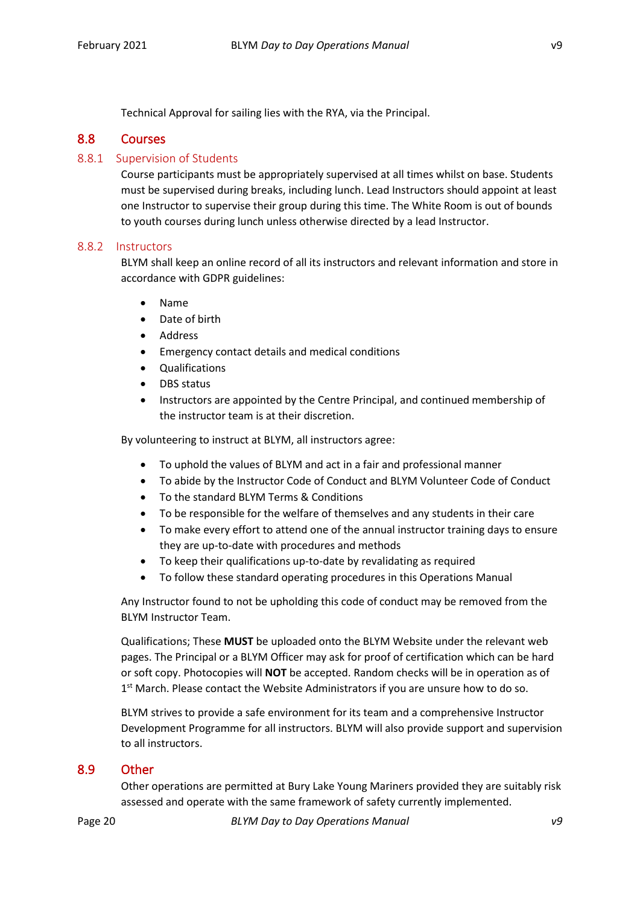Technical Approval for sailing lies with the RYA, via the Principal.

#### <span id="page-19-0"></span>8.8 Courses

#### <span id="page-19-1"></span>8.8.1 Supervision of Students

Course participants must be appropriately supervised at all times whilst on base. Students must be supervised during breaks, including lunch. Lead Instructors should appoint at least one Instructor to supervise their group during this time. The White Room is out of bounds to youth courses during lunch unless otherwise directed by a lead Instructor.

#### <span id="page-19-2"></span>8.8.2 Instructors

BLYM shall keep an online record of all its instructors and relevant information and store in accordance with GDPR guidelines:

- Name
- Date of birth
- **Address**
- Emergency contact details and medical conditions
- Qualifications
- DBS status
- Instructors are appointed by the Centre Principal, and continued membership of the instructor team is at their discretion.

By volunteering to instruct at BLYM, all instructors agree:

- To uphold the values of BLYM and act in a fair and professional manner
- To abide by the Instructor Code of Conduct and BLYM Volunteer Code of Conduct
- To the standard BLYM Terms & Conditions
- To be responsible for the welfare of themselves and any students in their care
- To make every effort to attend one of the annual instructor training days to ensure they are up-to-date with procedures and methods
- To keep their qualifications up-to-date by revalidating as required
- To follow these standard operating procedures in this Operations Manual

Any Instructor found to not be upholding this code of conduct may be removed from the BLYM Instructor Team.

Qualifications; These **MUST** be uploaded onto the BLYM Website under the relevant web pages. The Principal or a BLYM Officer may ask for proof of certification which can be hard or soft copy. Photocopies will **NOT** be accepted. Random checks will be in operation as of 1<sup>st</sup> March. Please contact the Website Administrators if you are unsure how to do so.

BLYM strives to provide a safe environment for its team and a comprehensive Instructor Development Programme for all instructors. BLYM will also provide support and supervision to all instructors.

#### <span id="page-19-3"></span>8.9 Other

Other operations are permitted at Bury Lake Young Mariners provided they are suitably risk assessed and operate with the same framework of safety currently implemented.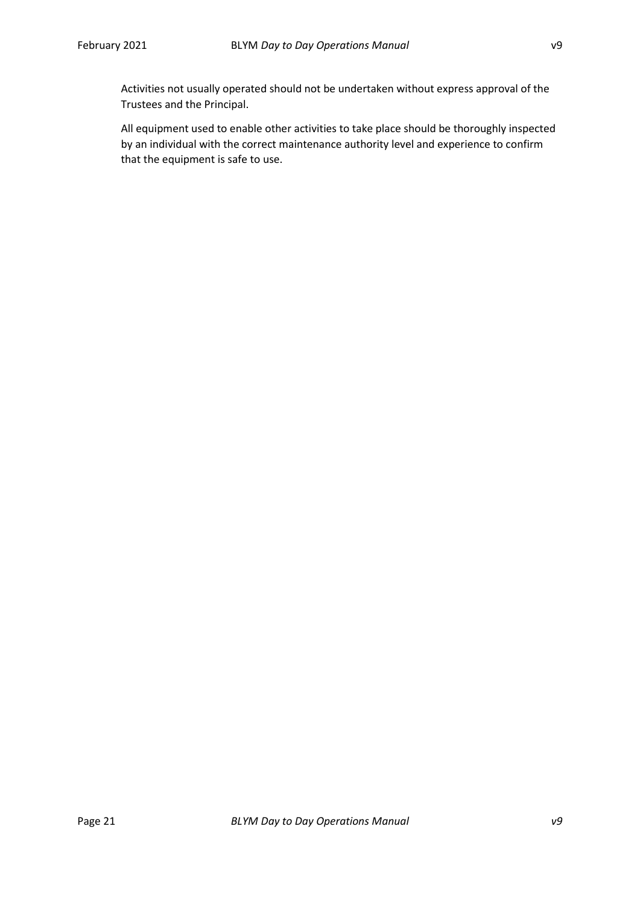Activities not usually operated should not be undertaken without express approval of the Trustees and the Principal.

All equipment used to enable other activities to take place should be thoroughly inspected by an individual with the correct maintenance authority level and experience to confirm that the equipment is safe to use.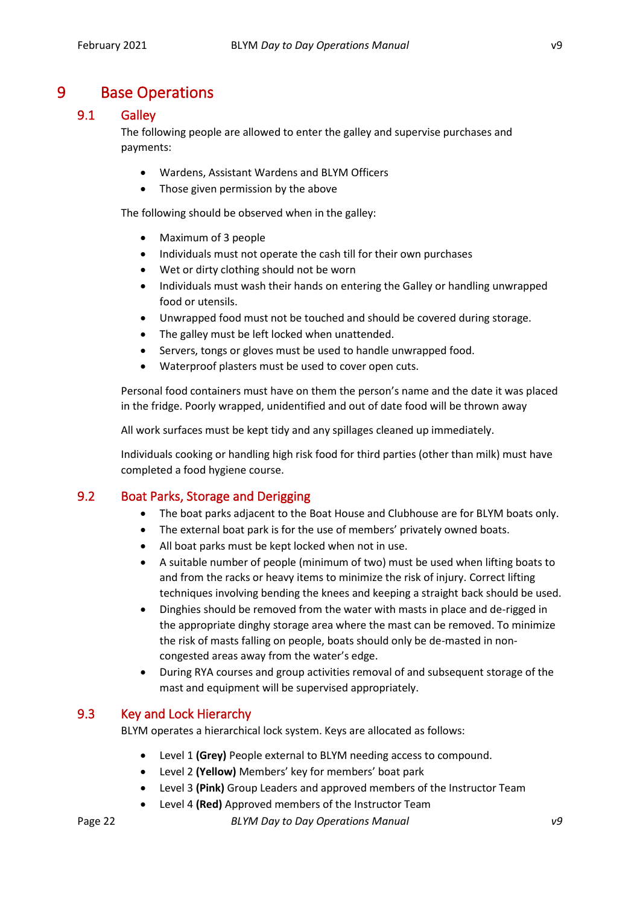### <span id="page-21-0"></span>9 Base Operations

#### <span id="page-21-1"></span>9.1 Galley

The following people are allowed to enter the galley and supervise purchases and payments:

- Wardens, Assistant Wardens and BLYM Officers
- Those given permission by the above

The following should be observed when in the galley:

- Maximum of 3 people
- Individuals must not operate the cash till for their own purchases
- Wet or dirty clothing should not be worn
- Individuals must wash their hands on entering the Galley or handling unwrapped food or utensils.
- Unwrapped food must not be touched and should be covered during storage.
- The galley must be left locked when unattended.
- Servers, tongs or gloves must be used to handle unwrapped food.
- Waterproof plasters must be used to cover open cuts.

Personal food containers must have on them the person's name and the date it was placed in the fridge. Poorly wrapped, unidentified and out of date food will be thrown away

All work surfaces must be kept tidy and any spillages cleaned up immediately.

Individuals cooking or handling high risk food for third parties (other than milk) must have completed a food hygiene course.

#### <span id="page-21-2"></span>9.2 Boat Parks, Storage and Derigging

- The boat parks adjacent to the Boat House and Clubhouse are for BLYM boats only.
- The external boat park is for the use of members' privately owned boats.
- All boat parks must be kept locked when not in use.
- A suitable number of people (minimum of two) must be used when lifting boats to and from the racks or heavy items to minimize the risk of injury. Correct lifting techniques involving bending the knees and keeping a straight back should be used.
- Dinghies should be removed from the water with masts in place and de-rigged in the appropriate dinghy storage area where the mast can be removed. To minimize the risk of masts falling on people, boats should only be de-masted in noncongested areas away from the water's edge.
- During RYA courses and group activities removal of and subsequent storage of the mast and equipment will be supervised appropriately.

#### <span id="page-21-3"></span>9.3 Key and Lock Hierarchy

BLYM operates a hierarchical lock system. Keys are allocated as follows:

- Level 1 **(Grey)** People external to BLYM needing access to compound.
- Level 2 **(Yellow)** Members' key for members' boat park
- Level 3 **(Pink)** Group Leaders and approved members of the Instructor Team
- Level 4 **(Red)** Approved members of the Instructor Team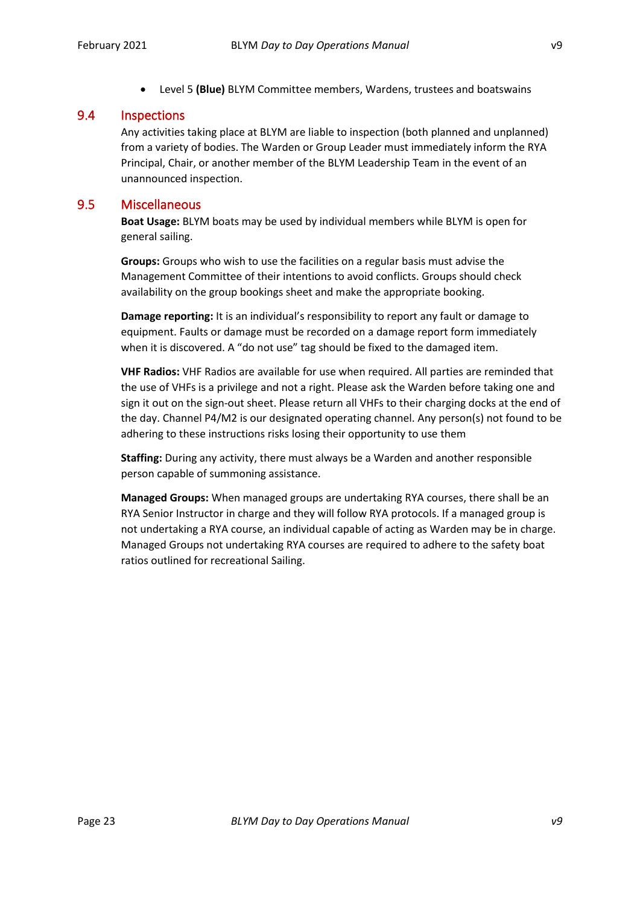- 
- Level 5 **(Blue)** BLYM Committee members, Wardens, trustees and boatswains

#### <span id="page-22-0"></span>9.4 Inspections

Any activities taking place at BLYM are liable to inspection (both planned and unplanned) from a variety of bodies. The Warden or Group Leader must immediately inform the RYA Principal, Chair, or another member of the BLYM Leadership Team in the event of an unannounced inspection.

#### <span id="page-22-1"></span>9.5 Miscellaneous

**Boat Usage:** BLYM boats may be used by individual members while BLYM is open for general sailing.

**Groups:** Groups who wish to use the facilities on a regular basis must advise the Management Committee of their intentions to avoid conflicts. Groups should check availability on the group bookings sheet and make the appropriate booking.

**Damage reporting:** It is an individual's responsibility to report any fault or damage to equipment. Faults or damage must be recorded on a damage report form immediately when it is discovered. A "do not use" tag should be fixed to the damaged item.

**VHF Radios:** VHF Radios are available for use when required. All parties are reminded that the use of VHFs is a privilege and not a right. Please ask the Warden before taking one and sign it out on the sign-out sheet. Please return all VHFs to their charging docks at the end of the day. Channel P4/M2 is our designated operating channel. Any person(s) not found to be adhering to these instructions risks losing their opportunity to use them

**Staffing:** During any activity, there must always be a Warden and another responsible person capable of summoning assistance.

**Managed Groups:** When managed groups are undertaking RYA courses, there shall be an RYA Senior Instructor in charge and they will follow RYA protocols. If a managed group is not undertaking a RYA course, an individual capable of acting as Warden may be in charge. Managed Groups not undertaking RYA courses are required to adhere to the safety boat ratios outlined for recreational Sailing.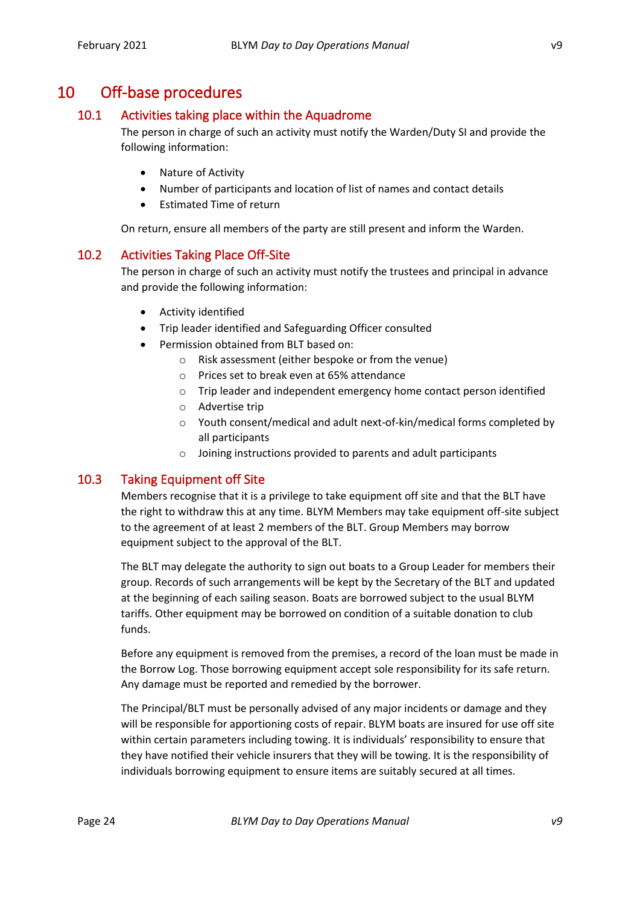### <span id="page-23-0"></span>10 Off-base procedures

#### <span id="page-23-1"></span>10.1 Activities taking place within the Aquadrome

The person in charge of such an activity must notify the Warden/Duty SI and provide the following information:

- Nature of Activity
- Number of participants and location of list of names and contact details
- Estimated Time of return

On return, ensure all members of the party are still present and inform the Warden.

#### <span id="page-23-2"></span>10.2 Activities Taking Place Off-Site

The person in charge of such an activity must notify the trustees and principal in advance and provide the following information:

- Activity identified
- Trip leader identified and Safeguarding Officer consulted
- Permission obtained from BLT based on:
	- o Risk assessment (either bespoke or from the venue)
	- o Prices set to break even at 65% attendance
	- o Trip leader and independent emergency home contact person identified
	- o Advertise trip
	- o Youth consent/medical and adult next-of-kin/medical forms completed by all participants
	- o Joining instructions provided to parents and adult participants

#### <span id="page-23-3"></span>10.3 Taking Equipment off Site

Members recognise that it is a privilege to take equipment off site and that the BLT have the right to withdraw this at any time. BLYM Members may take equipment off-site subject to the agreement of at least 2 members of the BLT. Group Members may borrow equipment subject to the approval of the BLT.

The BLT may delegate the authority to sign out boats to a Group Leader for members their group. Records of such arrangements will be kept by the Secretary of the BLT and updated at the beginning of each sailing season. Boats are borrowed subject to the usual BLYM tariffs. Other equipment may be borrowed on condition of a suitable donation to club funds.

Before any equipment is removed from the premises, a record of the loan must be made in the Borrow Log. Those borrowing equipment accept sole responsibility for its safe return. Any damage must be reported and remedied by the borrower.

The Principal/BLT must be personally advised of any major incidents or damage and they will be responsible for apportioning costs of repair. BLYM boats are insured for use off site within certain parameters including towing. It is individuals' responsibility to ensure that they have notified their vehicle insurers that they will be towing. It is the responsibility of individuals borrowing equipment to ensure items are suitably secured at all times.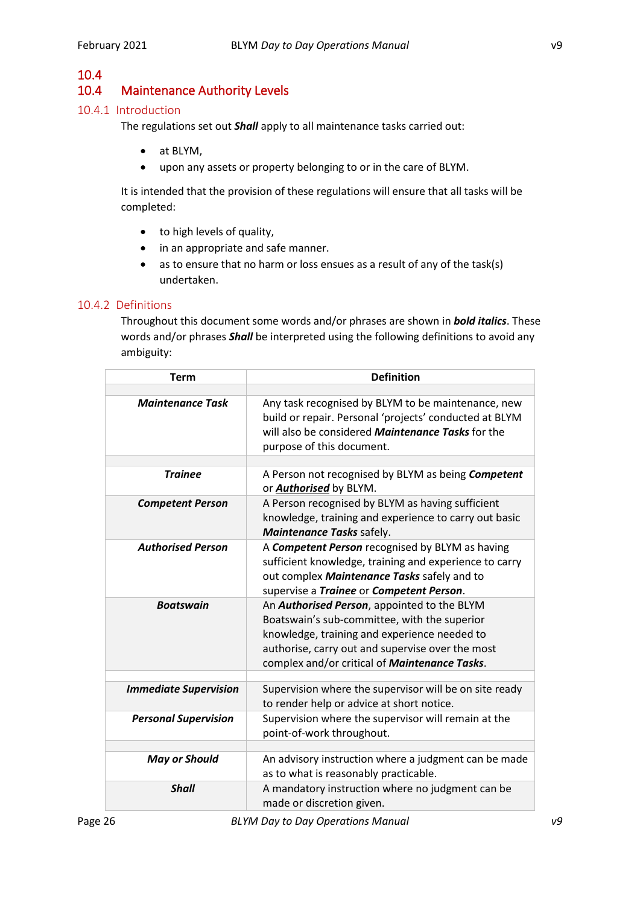## 10.4

### 10.4 Maintenance Authority Levels

#### <span id="page-25-1"></span>10.4.1 Introduction

<span id="page-25-0"></span>The regulations set out *Shall* apply to all maintenance tasks carried out:

- at BLYM,
- upon any assets or property belonging to or in the care of BLYM.

It is intended that the provision of these regulations will ensure that all tasks will be completed:

- to high levels of quality,
- in an appropriate and safe manner.
- as to ensure that no harm or loss ensues as a result of any of the task(s) undertaken.

#### <span id="page-25-2"></span>10.4.2 Definitions

Throughout this document some words and/or phrases are shown in *bold italics*. These words and/or phrases *Shall* be interpreted using the following definitions to avoid any ambiguity:

| <b>Term</b>                  | <b>Definition</b>                                                                                                                                                                                                                                        |
|------------------------------|----------------------------------------------------------------------------------------------------------------------------------------------------------------------------------------------------------------------------------------------------------|
|                              |                                                                                                                                                                                                                                                          |
| <b>Maintenance Task</b>      | Any task recognised by BLYM to be maintenance, new<br>build or repair. Personal 'projects' conducted at BLYM<br>will also be considered <b>Maintenance Tasks</b> for the<br>purpose of this document.                                                    |
|                              |                                                                                                                                                                                                                                                          |
| <b>Trainee</b>               | A Person not recognised by BLYM as being Competent<br>or <b>Authorised</b> by BLYM.                                                                                                                                                                      |
| <b>Competent Person</b>      | A Person recognised by BLYM as having sufficient<br>knowledge, training and experience to carry out basic<br>Maintenance Tasks safely.                                                                                                                   |
| <b>Authorised Person</b>     | A Competent Person recognised by BLYM as having<br>sufficient knowledge, training and experience to carry<br>out complex Maintenance Tasks safely and to<br>supervise a Trainee or Competent Person.                                                     |
| <b>Boatswain</b>             | An <b>Authorised Person</b> , appointed to the BLYM<br>Boatswain's sub-committee, with the superior<br>knowledge, training and experience needed to<br>authorise, carry out and supervise over the most<br>complex and/or critical of Maintenance Tasks. |
| <b>Immediate Supervision</b> | Supervision where the supervisor will be on site ready<br>to render help or advice at short notice.                                                                                                                                                      |
| <b>Personal Supervision</b>  | Supervision where the supervisor will remain at the<br>point-of-work throughout.                                                                                                                                                                         |
|                              |                                                                                                                                                                                                                                                          |
| <b>May or Should</b>         | An advisory instruction where a judgment can be made<br>as to what is reasonably practicable.                                                                                                                                                            |
| <b>Shall</b>                 | A mandatory instruction where no judgment can be<br>made or discretion given.                                                                                                                                                                            |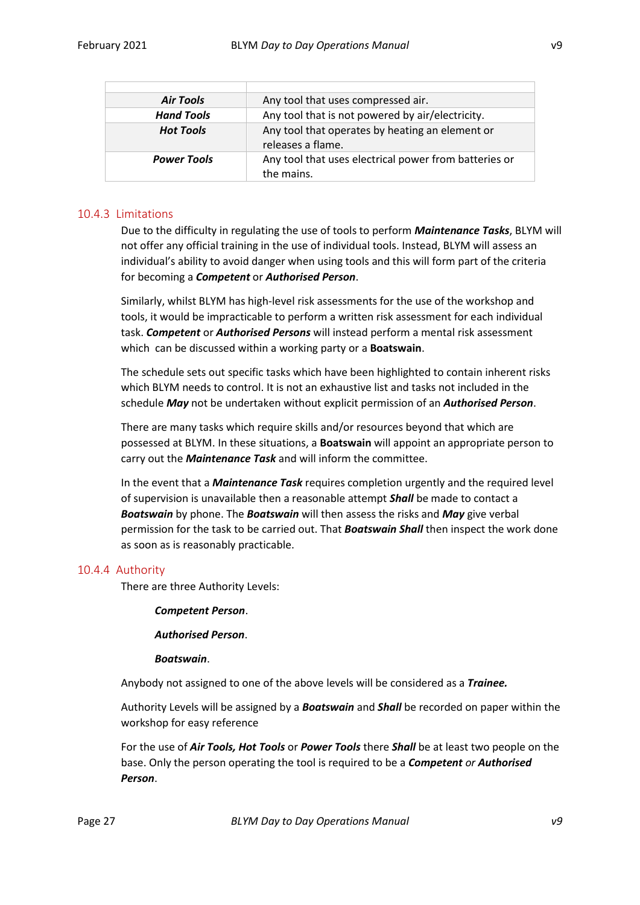| <b>Air Tools</b>   | Any tool that uses compressed air.                                   |  |
|--------------------|----------------------------------------------------------------------|--|
| <b>Hand Tools</b>  | Any tool that is not powered by air/electricity.                     |  |
| <b>Hot Tools</b>   | Any tool that operates by heating an element or<br>releases a flame. |  |
| <b>Power Tools</b> | Any tool that uses electrical power from batteries or<br>the mains.  |  |

#### <span id="page-26-0"></span>10.4.3 Limitations

Due to the difficulty in regulating the use of tools to perform *Maintenance Tasks*, BLYM will not offer any official training in the use of individual tools. Instead, BLYM will assess an individual's ability to avoid danger when using tools and this will form part of the criteria for becoming a *Competent* or *Authorised Person*.

Similarly, whilst BLYM has high-level risk assessments for the use of the workshop and tools, it would be impracticable to perform a written risk assessment for each individual task. *Competent* or *Authorised Persons* will instead perform a mental risk assessment which can be discussed within a working party or a **Boatswain**.

The schedule sets out specific tasks which have been highlighted to contain inherent risks which BLYM needs to control. It is not an exhaustive list and tasks not included in the schedule *May* not be undertaken without explicit permission of an *Authorised Person*.

There are many tasks which require skills and/or resources beyond that which are possessed at BLYM. In these situations, a **Boatswain** will appoint an appropriate person to carry out the *Maintenance Task* and will inform the committee.

In the event that a *Maintenance Task* requires completion urgently and the required level of supervision is unavailable then a reasonable attempt *Shall* be made to contact a *Boatswain* by phone. The *Boatswain* will then assess the risks and *May* give verbal permission for the task to be carried out. That *Boatswain Shall* then inspect the work done as soon as is reasonably practicable.

#### <span id="page-26-1"></span>10.4.4 Authority

There are three Authority Levels:

#### *Competent Person*.

*Authorised Person*.

#### *Boatswain*.

Anybody not assigned to one of the above levels will be considered as a *Trainee.*

Authority Levels will be assigned by a *Boatswain* and *Shall* be recorded on paper within the workshop for easy reference

For the use of *Air Tools, Hot Tools* or *Power Tools* there *Shall* be at least two people on the base. Only the person operating the tool is required to be a *Competent or Authorised Person*.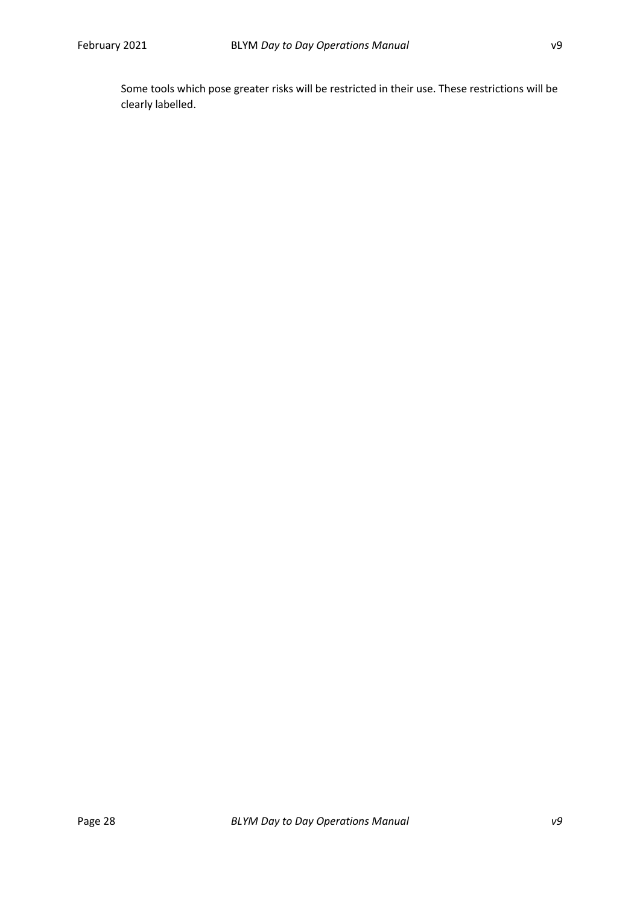Some tools which pose greater risks will be restricted in their use. These restrictions will be clearly labelled.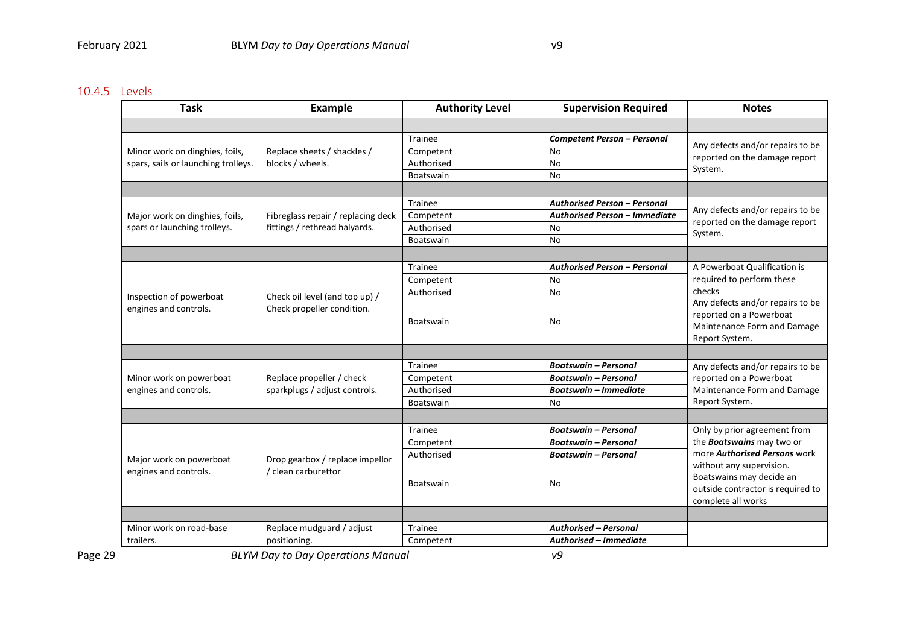#### 10.4.5 Levels

| <b>Task</b>                                                           | <b>Example</b>                                                      | <b>Authority Level</b> | <b>Supervision Required</b>         | <b>Notes</b>                                                                                                                                                                                                               |
|-----------------------------------------------------------------------|---------------------------------------------------------------------|------------------------|-------------------------------------|----------------------------------------------------------------------------------------------------------------------------------------------------------------------------------------------------------------------------|
|                                                                       |                                                                     |                        |                                     |                                                                                                                                                                                                                            |
| Minor work on dinghies, foils,<br>spars, sails or launching trolleys. | Replace sheets / shackles /<br>blocks / wheels.                     | Trainee                | Competent Person - Personal         | Any defects and/or repairs to be<br>reported on the damage report<br>System.                                                                                                                                               |
|                                                                       |                                                                     | Competent              | <b>No</b>                           |                                                                                                                                                                                                                            |
|                                                                       |                                                                     | Authorised             | No                                  |                                                                                                                                                                                                                            |
|                                                                       |                                                                     | <b>Boatswain</b>       | No                                  |                                                                                                                                                                                                                            |
|                                                                       |                                                                     |                        |                                     |                                                                                                                                                                                                                            |
| Major work on dinghies, foils,<br>spars or launching trolleys.        | Fibreglass repair / replacing deck<br>fittings / rethread halyards. | <b>Trainee</b>         | <b>Authorised Person - Personal</b> | Any defects and/or repairs to be<br>reported on the damage report<br>System.                                                                                                                                               |
|                                                                       |                                                                     | Competent              | Authorised Person - Immediate       |                                                                                                                                                                                                                            |
|                                                                       |                                                                     | Authorised             | No                                  |                                                                                                                                                                                                                            |
|                                                                       |                                                                     | <b>Boatswain</b>       | <b>No</b>                           |                                                                                                                                                                                                                            |
|                                                                       |                                                                     |                        |                                     |                                                                                                                                                                                                                            |
|                                                                       | Check oil level (and top up) /<br>Check propeller condition.        | Trainee                | <b>Authorised Person - Personal</b> | A Powerboat Qualification is<br>required to perform these<br>checks<br>Any defects and/or repairs to be<br>reported on a Powerboat<br>Maintenance Form and Damage<br>Report System.                                        |
|                                                                       |                                                                     | Competent              | No                                  |                                                                                                                                                                                                                            |
| Inspection of powerboat                                               |                                                                     | Authorised             | No                                  |                                                                                                                                                                                                                            |
| engines and controls.                                                 |                                                                     | <b>Boatswain</b>       | No                                  |                                                                                                                                                                                                                            |
|                                                                       |                                                                     |                        |                                     |                                                                                                                                                                                                                            |
|                                                                       | Replace propeller / check<br>sparkplugs / adjust controls.          | <b>Trainee</b>         | <b>Boatswain - Personal</b>         | Any defects and/or repairs to be                                                                                                                                                                                           |
| Minor work on powerboat                                               |                                                                     | Competent              | <b>Boatswain - Personal</b>         | reported on a Powerboat<br>Maintenance Form and Damage<br>Report System.                                                                                                                                                   |
| engines and controls.                                                 |                                                                     | Authorised             | <b>Boatswain - Immediate</b>        |                                                                                                                                                                                                                            |
|                                                                       |                                                                     | <b>Boatswain</b>       | No                                  |                                                                                                                                                                                                                            |
|                                                                       |                                                                     |                        |                                     |                                                                                                                                                                                                                            |
| Major work on powerboat<br>engines and controls.                      | Drop gearbox / replace impellor<br>/ clean carburettor              | Trainee                | <b>Boatswain - Personal</b>         | Only by prior agreement from<br>the <b>Boatswains</b> may two or<br>more <b>Authorised Persons</b> work<br>without any supervision.<br>Boatswains may decide an<br>outside contractor is required to<br>complete all works |
|                                                                       |                                                                     | Competent              | <b>Boatswain - Personal</b>         |                                                                                                                                                                                                                            |
|                                                                       |                                                                     | Authorised             | <b>Boatswain - Personal</b>         |                                                                                                                                                                                                                            |
|                                                                       |                                                                     | <b>Boatswain</b>       | No                                  |                                                                                                                                                                                                                            |
|                                                                       |                                                                     |                        |                                     |                                                                                                                                                                                                                            |
| Minor work on road-base                                               | Replace mudguard / adjust                                           | Trainee                | <b>Authorised - Personal</b>        |                                                                                                                                                                                                                            |
| trailers.                                                             | positioning.                                                        | Competent              | Authorised – Immediate              |                                                                                                                                                                                                                            |

<span id="page-28-0"></span>Page 29 *BLYM Day to Day Operations Manual v9*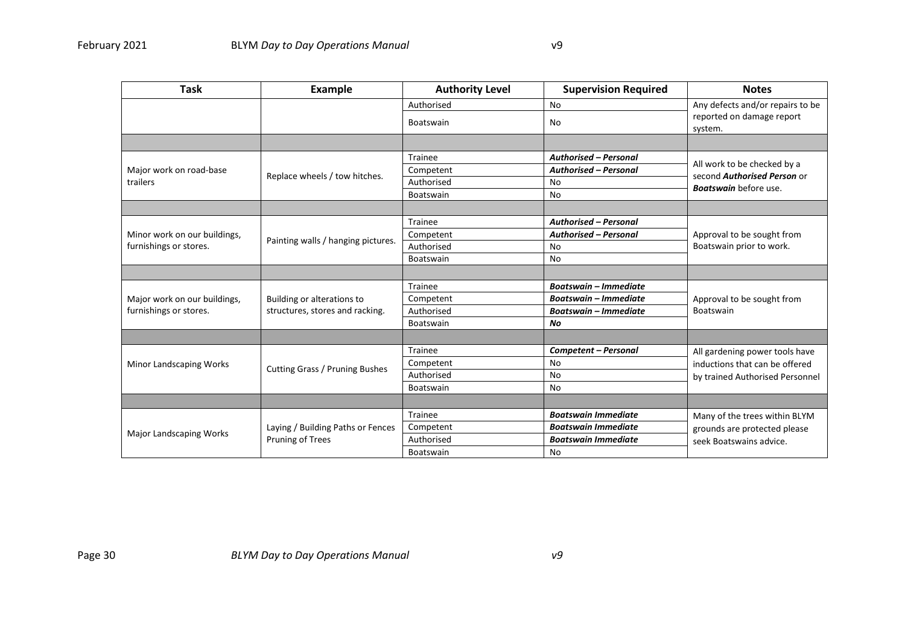| <b>Task</b>                                            | <b>Example</b>                                                | <b>Authority Level</b> | <b>Supervision Required</b>  | <b>Notes</b>                                                                                      |
|--------------------------------------------------------|---------------------------------------------------------------|------------------------|------------------------------|---------------------------------------------------------------------------------------------------|
|                                                        |                                                               | Authorised             | No                           | Any defects and/or repairs to be<br>reported on damage report<br>system.                          |
|                                                        |                                                               | <b>Boatswain</b>       | No                           |                                                                                                   |
|                                                        |                                                               |                        |                              |                                                                                                   |
| Major work on road-base<br>trailers                    | Replace wheels / tow hitches.                                 | Trainee                | <b>Authorised - Personal</b> | All work to be checked by a<br>second <b>Authorised Person</b> or<br><b>Boatswain</b> before use. |
|                                                        |                                                               | Competent              | <b>Authorised - Personal</b> |                                                                                                   |
|                                                        |                                                               | Authorised             | No                           |                                                                                                   |
|                                                        |                                                               | Boatswain              | No                           |                                                                                                   |
|                                                        |                                                               |                        |                              |                                                                                                   |
| Minor work on our buildings,<br>furnishings or stores. | Painting walls / hanging pictures.                            | Trainee                | <b>Authorised - Personal</b> | Approval to be sought from<br>Boatswain prior to work.                                            |
|                                                        |                                                               | Competent              | <b>Authorised - Personal</b> |                                                                                                   |
|                                                        |                                                               | Authorised             | No                           |                                                                                                   |
|                                                        |                                                               | Boatswain              | No                           |                                                                                                   |
|                                                        |                                                               |                        |                              |                                                                                                   |
| Major work on our buildings,<br>furnishings or stores. | Building or alterations to<br>structures, stores and racking. | Trainee                | <b>Boatswain - Immediate</b> | Approval to be sought from<br>Boatswain                                                           |
|                                                        |                                                               | Competent              | <b>Boatswain - Immediate</b> |                                                                                                   |
|                                                        |                                                               | Authorised             | <b>Boatswain - Immediate</b> |                                                                                                   |
|                                                        |                                                               | Boatswain              | No                           |                                                                                                   |
|                                                        |                                                               |                        |                              |                                                                                                   |
| Minor Landscaping Works                                | Cutting Grass / Pruning Bushes                                | Trainee                | <b>Competent - Personal</b>  | All gardening power tools have                                                                    |
|                                                        |                                                               | Competent              | No                           | inductions that can be offered<br>by trained Authorised Personnel                                 |
|                                                        |                                                               | Authorised             | No                           |                                                                                                   |
|                                                        |                                                               | <b>Boatswain</b>       | No                           |                                                                                                   |
|                                                        |                                                               |                        |                              |                                                                                                   |
| Major Landscaping Works                                | Laying / Building Paths or Fences<br>Pruning of Trees         | Trainee                | <b>Boatswain Immediate</b>   | Many of the trees within BLYM<br>grounds are protected please<br>seek Boatswains advice.          |
|                                                        |                                                               | Competent              | <b>Boatswain Immediate</b>   |                                                                                                   |
|                                                        |                                                               | Authorised             | <b>Boatswain Immediate</b>   |                                                                                                   |
|                                                        |                                                               | <b>Boatswain</b>       | No                           |                                                                                                   |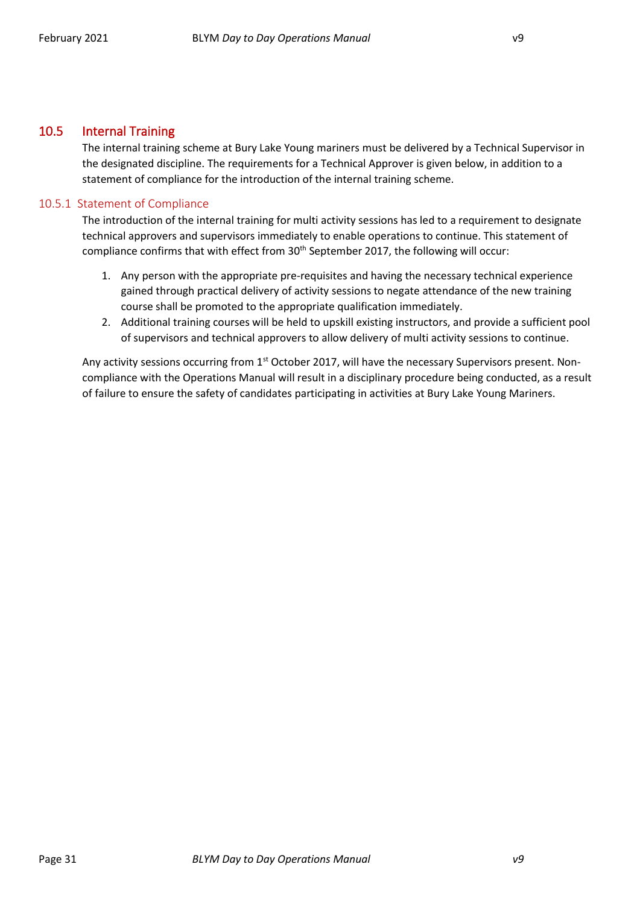#### <span id="page-30-0"></span>10.5 Internal Training

The internal training scheme at Bury Lake Young mariners must be delivered by a Technical Supervisor in the designated discipline. The requirements for a Technical Approver is given below, in addition to a statement of compliance for the introduction of the internal training scheme.

#### <span id="page-30-1"></span>10.5.1 Statement of Compliance

The introduction of the internal training for multi activity sessions has led to a requirement to designate technical approvers and supervisors immediately to enable operations to continue. This statement of compliance confirms that with effect from 30<sup>th</sup> September 2017, the following will occur:

- 1. Any person with the appropriate pre-requisites and having the necessary technical experience gained through practical delivery of activity sessions to negate attendance of the new training course shall be promoted to the appropriate qualification immediately.
- 2. Additional training courses will be held to upskill existing instructors, and provide a sufficient pool of supervisors and technical approvers to allow delivery of multi activity sessions to continue.

Any activity sessions occurring from 1<sup>st</sup> October 2017, will have the necessary Supervisors present. Noncompliance with the Operations Manual will result in a disciplinary procedure being conducted, as a result of failure to ensure the safety of candidates participating in activities at Bury Lake Young Mariners.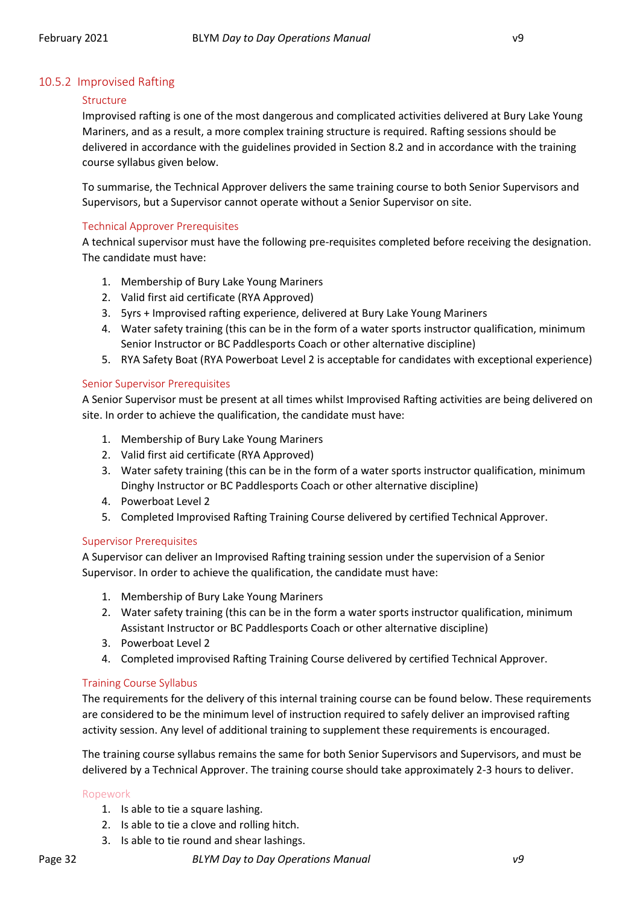#### <span id="page-31-0"></span>10.5.2 Improvised Rafting

#### Structure

Improvised rafting is one of the most dangerous and complicated activities delivered at Bury Lake Young Mariners, and as a result, a more complex training structure is required. Rafting sessions should be delivered in accordance with the guidelines provided in Sectio[n 8.2](#page-16-0) and in accordance with the training course syllabus given below.

To summarise, the Technical Approver delivers the same training course to both Senior Supervisors and Supervisors, but a Supervisor cannot operate without a Senior Supervisor on site.

#### Technical Approver Prerequisites

A technical supervisor must have the following pre-requisites completed before receiving the designation. The candidate must have:

- 1. Membership of Bury Lake Young Mariners
- 2. Valid first aid certificate (RYA Approved)
- 3. 5yrs + Improvised rafting experience, delivered at Bury Lake Young Mariners
- 4. Water safety training (this can be in the form of a water sports instructor qualification, minimum Senior Instructor or BC Paddlesports Coach or other alternative discipline)
- 5. RYA Safety Boat (RYA Powerboat Level 2 is acceptable for candidates with exceptional experience)

#### Senior Supervisor Prerequisites

A Senior Supervisor must be present at all times whilst Improvised Rafting activities are being delivered on site. In order to achieve the qualification, the candidate must have:

- 1. Membership of Bury Lake Young Mariners
- 2. Valid first aid certificate (RYA Approved)
- 3. Water safety training (this can be in the form of a water sports instructor qualification, minimum Dinghy Instructor or BC Paddlesports Coach or other alternative discipline)
- 4. Powerboat Level 2
- 5. Completed Improvised Rafting Training Course delivered by certified Technical Approver.

#### Supervisor Prerequisites

A Supervisor can deliver an Improvised Rafting training session under the supervision of a Senior Supervisor. In order to achieve the qualification, the candidate must have:

- 1. Membership of Bury Lake Young Mariners
- 2. Water safety training (this can be in the form a water sports instructor qualification, minimum Assistant Instructor or BC Paddlesports Coach or other alternative discipline)
- 3. Powerboat Level 2
- 4. Completed improvised Rafting Training Course delivered by certified Technical Approver.

#### Training Course Syllabus

The requirements for the delivery of this internal training course can be found below. These requirements are considered to be the minimum level of instruction required to safely deliver an improvised rafting activity session. Any level of additional training to supplement these requirements is encouraged.

The training course syllabus remains the same for both Senior Supervisors and Supervisors, and must be delivered by a Technical Approver. The training course should take approximately 2-3 hours to deliver.

#### Ropework

- 1. Is able to tie a square lashing.
- 2. Is able to tie a clove and rolling hitch.
- 3. Is able to tie round and shear lashings.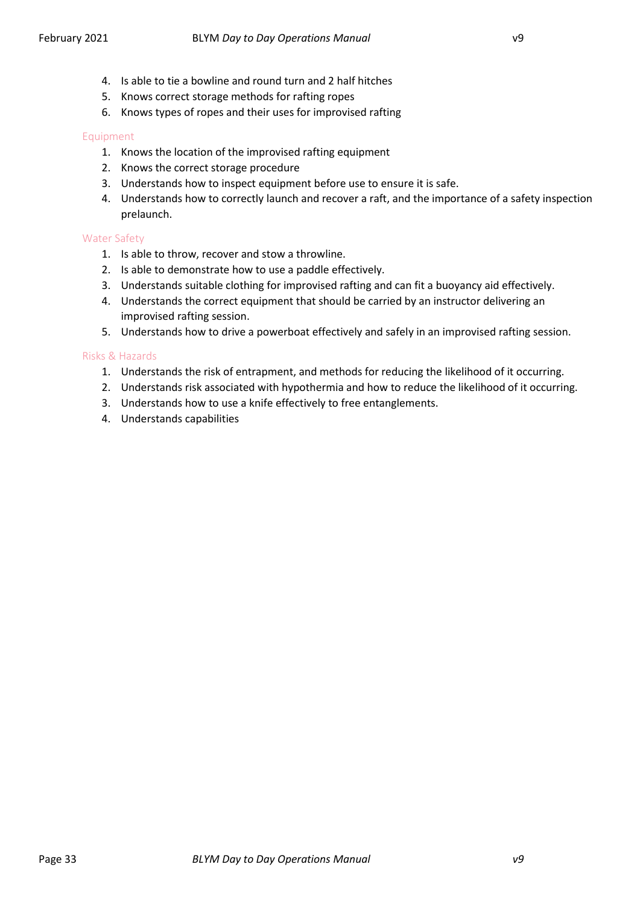- 4. Is able to tie a bowline and round turn and 2 half hitches
- 5. Knows correct storage methods for rafting ropes
- 6. Knows types of ropes and their uses for improvised rafting

#### Equipment

- 1. Knows the location of the improvised rafting equipment
- 2. Knows the correct storage procedure
- 3. Understands how to inspect equipment before use to ensure it is safe.
- 4. Understands how to correctly launch and recover a raft, and the importance of a safety inspection prelaunch.

#### Water Safety

- 1. Is able to throw, recover and stow a throwline.
- 2. Is able to demonstrate how to use a paddle effectively.
- 3. Understands suitable clothing for improvised rafting and can fit a buoyancy aid effectively.
- 4. Understands the correct equipment that should be carried by an instructor delivering an improvised rafting session.
- 5. Understands how to drive a powerboat effectively and safely in an improvised rafting session.

#### Risks & Hazards

- 1. Understands the risk of entrapment, and methods for reducing the likelihood of it occurring.
- 2. Understands risk associated with hypothermia and how to reduce the likelihood of it occurring.
- 3. Understands how to use a knife effectively to free entanglements.
- 4. Understands capabilities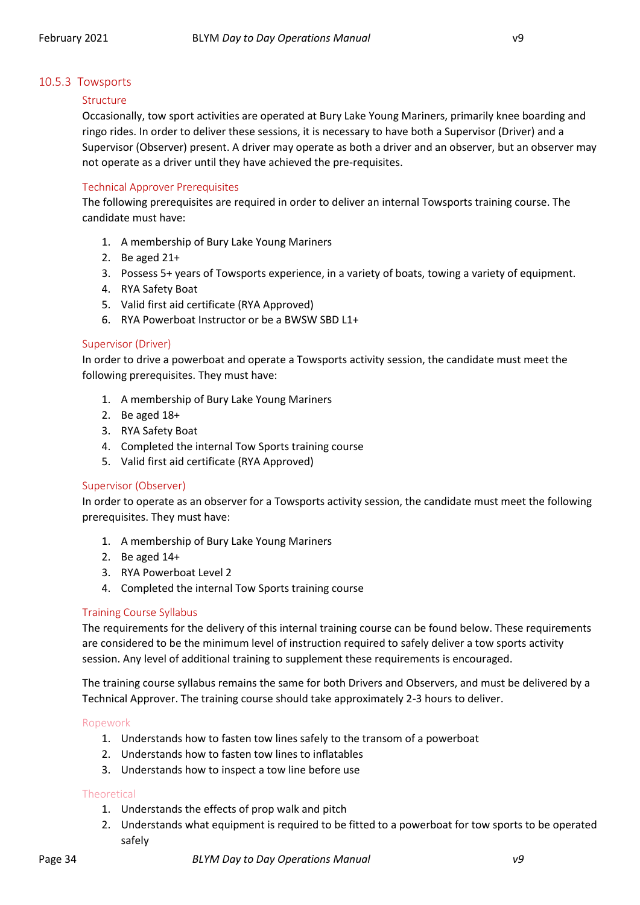#### <span id="page-33-0"></span>10.5.3 Towsports

#### Structure

Occasionally, tow sport activities are operated at Bury Lake Young Mariners, primarily knee boarding and ringo rides. In order to deliver these sessions, it is necessary to have both a Supervisor (Driver) and a Supervisor (Observer) present. A driver may operate as both a driver and an observer, but an observer may not operate as a driver until they have achieved the pre-requisites.

#### Technical Approver Prerequisites

The following prerequisites are required in order to deliver an internal Towsports training course. The candidate must have:

- 1. A membership of Bury Lake Young Mariners
- 2. Be aged 21+
- 3. Possess 5+ years of Towsports experience, in a variety of boats, towing a variety of equipment.
- 4. RYA Safety Boat
- 5. Valid first aid certificate (RYA Approved)
- 6. RYA Powerboat Instructor or be a BWSW SBD L1+

#### Supervisor (Driver)

In order to drive a powerboat and operate a Towsports activity session, the candidate must meet the following prerequisites. They must have:

- 1. A membership of Bury Lake Young Mariners
- 2. Be aged 18+
- 3. RYA Safety Boat
- 4. Completed the internal Tow Sports training course
- 5. Valid first aid certificate (RYA Approved)

#### Supervisor (Observer)

In order to operate as an observer for a Towsports activity session, the candidate must meet the following prerequisites. They must have:

- 1. A membership of Bury Lake Young Mariners
- 2. Be aged 14+
- 3. RYA Powerboat Level 2
- 4. Completed the internal Tow Sports training course

#### Training Course Syllabus

The requirements for the delivery of this internal training course can be found below. These requirements are considered to be the minimum level of instruction required to safely deliver a tow sports activity session. Any level of additional training to supplement these requirements is encouraged.

The training course syllabus remains the same for both Drivers and Observers, and must be delivered by a Technical Approver. The training course should take approximately 2-3 hours to deliver.

#### Ropework

- 1. Understands how to fasten tow lines safely to the transom of a powerboat
- 2. Understands how to fasten tow lines to inflatables
- 3. Understands how to inspect a tow line before use

#### **Theoretical**

- 1. Understands the effects of prop walk and pitch
- 2. Understands what equipment is required to be fitted to a powerboat for tow sports to be operated safely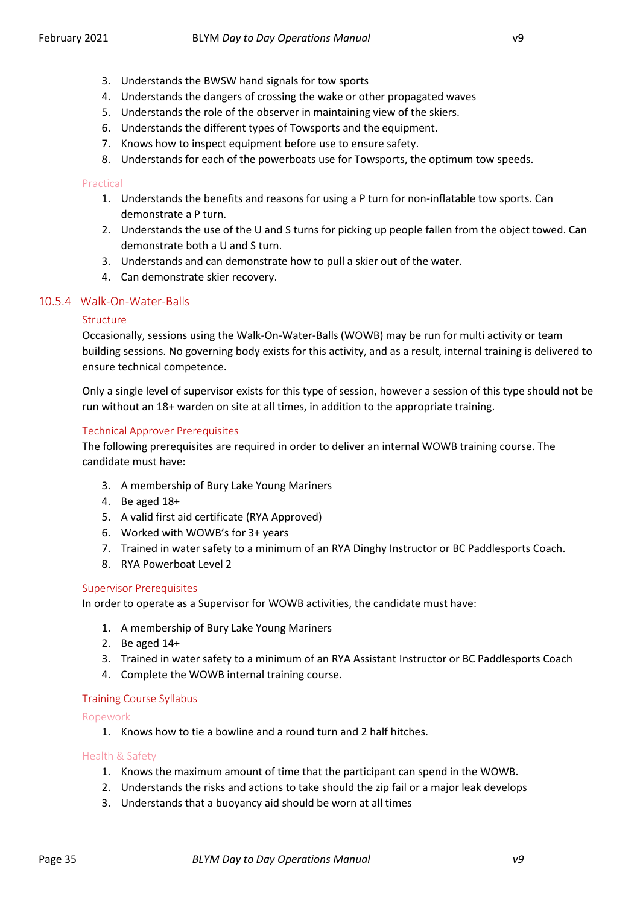- 3. Understands the BWSW hand signals for tow sports
- 4. Understands the dangers of crossing the wake or other propagated waves
- 5. Understands the role of the observer in maintaining view of the skiers.
- 6. Understands the different types of Towsports and the equipment.
- 7. Knows how to inspect equipment before use to ensure safety.
- 8. Understands for each of the powerboats use for Towsports, the optimum tow speeds.

#### Practical

- 1. Understands the benefits and reasons for using a P turn for non-inflatable tow sports. Can demonstrate a P turn.
- 2. Understands the use of the U and S turns for picking up people fallen from the object towed. Can demonstrate both a U and S turn.
- 3. Understands and can demonstrate how to pull a skier out of the water.
- 4. Can demonstrate skier recovery.

#### 10.5.4 Walk-On-Water-Balls

#### <span id="page-34-0"></span>Structure

Occasionally, sessions using the Walk-On-Water-Balls (WOWB) may be run for multi activity or team building sessions. No governing body exists for this activity, and as a result, internal training is delivered to ensure technical competence.

Only a single level of supervisor exists for this type of session, however a session of this type should not be run without an 18+ warden on site at all times, in addition to the appropriate training.

#### Technical Approver Prerequisites

The following prerequisites are required in order to deliver an internal WOWB training course. The candidate must have:

- 3. A membership of Bury Lake Young Mariners
- 4. Be aged 18+
- 5. A valid first aid certificate (RYA Approved)
- 6. Worked with WOWB's for 3+ years
- 7. Trained in water safety to a minimum of an RYA Dinghy Instructor or BC Paddlesports Coach.
- 8. RYA Powerboat Level 2

#### Supervisor Prerequisites

In order to operate as a Supervisor for WOWB activities, the candidate must have:

- 1. A membership of Bury Lake Young Mariners
- 2. Be aged 14+
- 3. Trained in water safety to a minimum of an RYA Assistant Instructor or BC Paddlesports Coach
- 4. Complete the WOWB internal training course.

#### Training Course Syllabus

Ropework

1. Knows how to tie a bowline and a round turn and 2 half hitches.

#### Health & Safety

- 1. Knows the maximum amount of time that the participant can spend in the WOWB.
- 2. Understands the risks and actions to take should the zip fail or a major leak develops
- 3. Understands that a buoyancy aid should be worn at all times